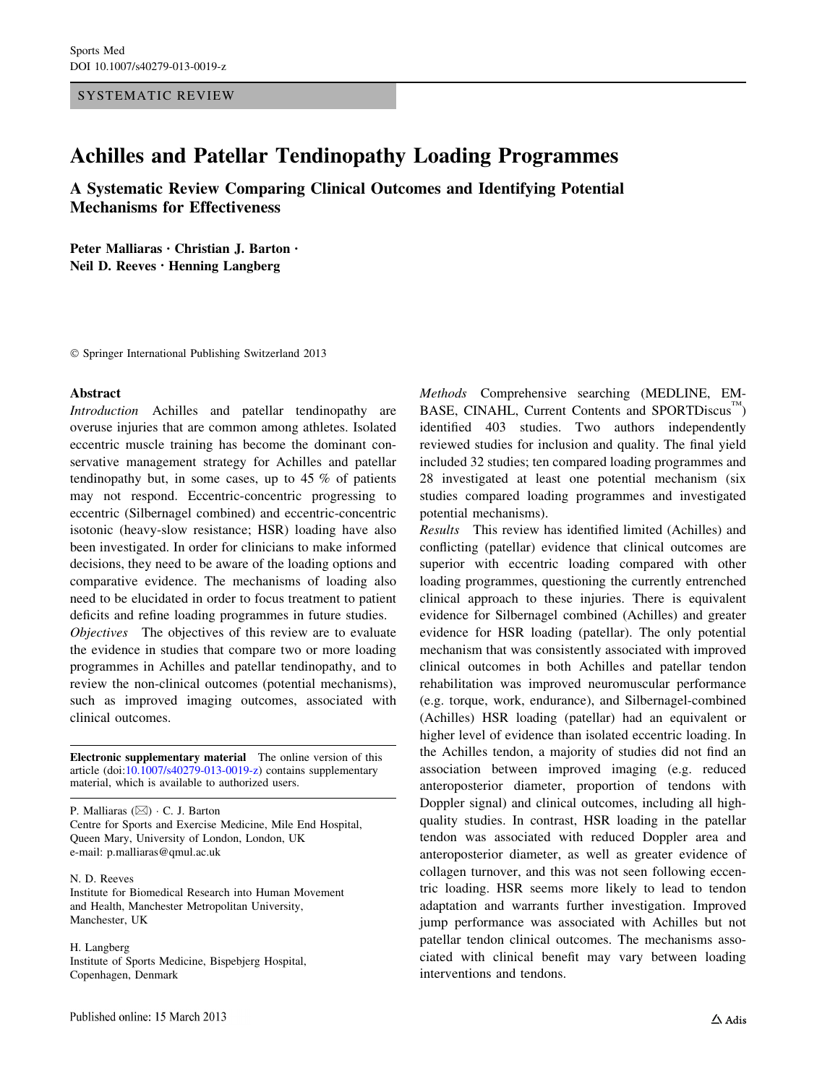## SYSTEMATIC REVIEW

# Achilles and Patellar Tendinopathy Loading Programmes

A Systematic Review Comparing Clinical Outcomes and Identifying Potential Mechanisms for Effectiveness

Peter Malliaras • Christian J. Barton • Neil D. Reeves • Henning Langberg

 $©$  Springer International Publishing Switzerland 2013

### Abstract

Introduction Achilles and patellar tendinopathy are overuse injuries that are common among athletes. Isolated eccentric muscle training has become the dominant conservative management strategy for Achilles and patellar tendinopathy but, in some cases, up to 45 % of patients may not respond. Eccentric-concentric progressing to eccentric (Silbernagel combined) and eccentric-concentric isotonic (heavy-slow resistance; HSR) loading have also been investigated. In order for clinicians to make informed decisions, they need to be aware of the loading options and comparative evidence. The mechanisms of loading also need to be elucidated in order to focus treatment to patient deficits and refine loading programmes in future studies.

Objectives The objectives of this review are to evaluate the evidence in studies that compare two or more loading programmes in Achilles and patellar tendinopathy, and to review the non-clinical outcomes (potential mechanisms), such as improved imaging outcomes, associated with clinical outcomes.

Electronic supplementary material The online version of this article (doi:[10.1007/s40279-013-0019-z](http://dx.doi.org/10.1007/s40279-013-0019-z)) contains supplementary material, which is available to authorized users.

P. Malliaras  $(\boxtimes) \cdot C$ . J. Barton Centre for Sports and Exercise Medicine, Mile End Hospital, Queen Mary, University of London, London, UK e-mail: p.malliaras@qmul.ac.uk

N. D. Reeves

Institute for Biomedical Research into Human Movement and Health, Manchester Metropolitan University, Manchester, UK

H. Langberg Institute of Sports Medicine, Bispebjerg Hospital, Copenhagen, Denmark

Methods Comprehensive searching (MEDLINE, EM-BASE, CINAHL, Current Contents and SPORTDiscus<sup>TM</sup>) identified 403 studies. Two authors independently reviewed studies for inclusion and quality. The final yield included 32 studies; ten compared loading programmes and 28 investigated at least one potential mechanism (six studies compared loading programmes and investigated potential mechanisms).

Results This review has identified limited (Achilles) and conflicting (patellar) evidence that clinical outcomes are superior with eccentric loading compared with other loading programmes, questioning the currently entrenched clinical approach to these injuries. There is equivalent evidence for Silbernagel combined (Achilles) and greater evidence for HSR loading (patellar). The only potential mechanism that was consistently associated with improved clinical outcomes in both Achilles and patellar tendon rehabilitation was improved neuromuscular performance (e.g. torque, work, endurance), and Silbernagel-combined (Achilles) HSR loading (patellar) had an equivalent or higher level of evidence than isolated eccentric loading. In the Achilles tendon, a majority of studies did not find an association between improved imaging (e.g. reduced anteroposterior diameter, proportion of tendons with Doppler signal) and clinical outcomes, including all highquality studies. In contrast, HSR loading in the patellar tendon was associated with reduced Doppler area and anteroposterior diameter, as well as greater evidence of collagen turnover, and this was not seen following eccentric loading. HSR seems more likely to lead to tendon adaptation and warrants further investigation. Improved jump performance was associated with Achilles but not patellar tendon clinical outcomes. The mechanisms associated with clinical benefit may vary between loading interventions and tendons.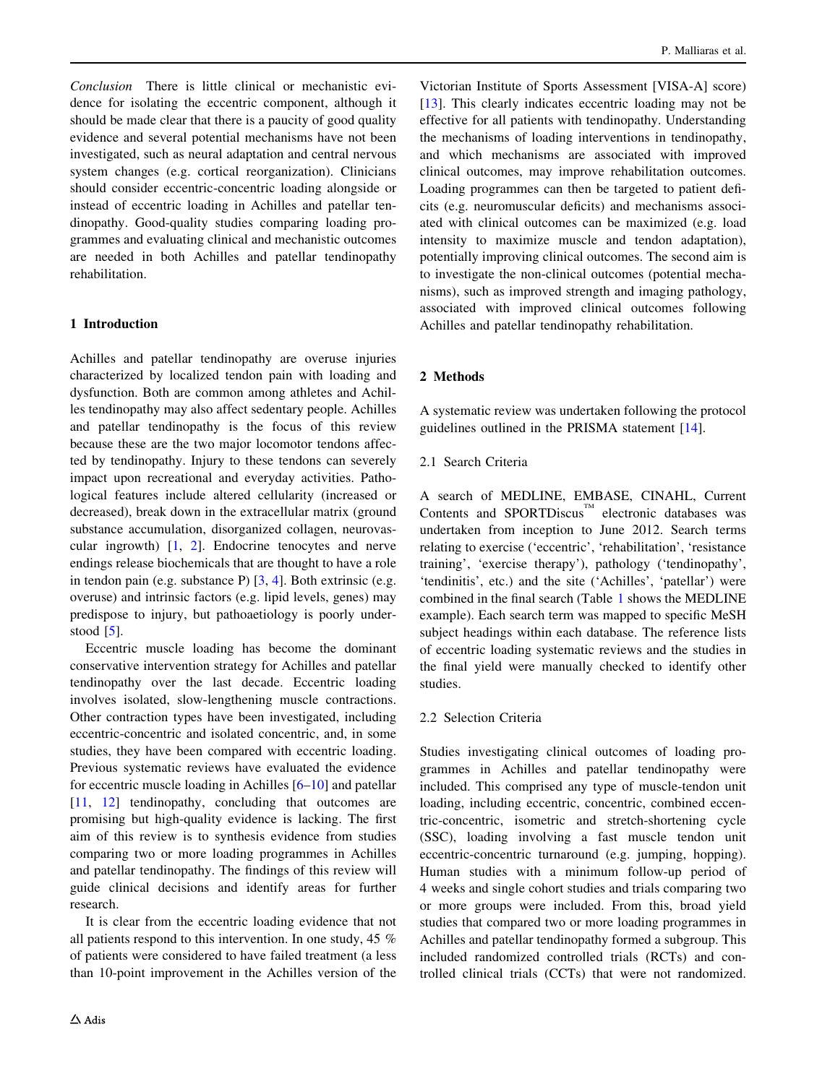Conclusion There is little clinical or mechanistic evidence for isolating the eccentric component, although it should be made clear that there is a paucity of good quality evidence and several potential mechanisms have not been investigated, such as neural adaptation and central nervous system changes (e.g. cortical reorganization). Clinicians should consider eccentric-concentric loading alongside or instead of eccentric loading in Achilles and patellar tendinopathy. Good-quality studies comparing loading programmes and evaluating clinical and mechanistic outcomes are needed in both Achilles and patellar tendinopathy rehabilitation.

# 1 Introduction

Achilles and patellar tendinopathy are overuse injuries characterized by localized tendon pain with loading and dysfunction. Both are common among athletes and Achilles tendinopathy may also affect sedentary people. Achilles and patellar tendinopathy is the focus of this review because these are the two major locomotor tendons affected by tendinopathy. Injury to these tendons can severely impact upon recreational and everyday activities. Pathological features include altered cellularity (increased or decreased), break down in the extracellular matrix (ground substance accumulation, disorganized collagen, neurovascular ingrowth) [[1,](#page-17-0) [2](#page-17-0)]. Endocrine tenocytes and nerve endings release biochemicals that are thought to have a role in tendon pain (e.g. substance P)  $[3, 4]$  $[3, 4]$  $[3, 4]$  $[3, 4]$ . Both extrinsic (e.g. overuse) and intrinsic factors (e.g. lipid levels, genes) may predispose to injury, but pathoaetiology is poorly understood [\[5](#page-17-0)].

Eccentric muscle loading has become the dominant conservative intervention strategy for Achilles and patellar tendinopathy over the last decade. Eccentric loading involves isolated, slow-lengthening muscle contractions. Other contraction types have been investigated, including eccentric-concentric and isolated concentric, and, in some studies, they have been compared with eccentric loading. Previous systematic reviews have evaluated the evidence for eccentric muscle loading in Achilles [\[6–10](#page-17-0)] and patellar [\[11](#page-17-0), [12](#page-17-0)] tendinopathy, concluding that outcomes are promising but high-quality evidence is lacking. The first aim of this review is to synthesis evidence from studies comparing two or more loading programmes in Achilles and patellar tendinopathy. The findings of this review will guide clinical decisions and identify areas for further research.

It is clear from the eccentric loading evidence that not all patients respond to this intervention. In one study, 45 % of patients were considered to have failed treatment (a less than 10-point improvement in the Achilles version of the

Victorian Institute of Sports Assessment [VISA-A] score) [\[13](#page-17-0)]. This clearly indicates eccentric loading may not be effective for all patients with tendinopathy. Understanding the mechanisms of loading interventions in tendinopathy, and which mechanisms are associated with improved clinical outcomes, may improve rehabilitation outcomes. Loading programmes can then be targeted to patient deficits (e.g. neuromuscular deficits) and mechanisms associated with clinical outcomes can be maximized (e.g. load intensity to maximize muscle and tendon adaptation), potentially improving clinical outcomes. The second aim is to investigate the non-clinical outcomes (potential mechanisms), such as improved strength and imaging pathology, associated with improved clinical outcomes following Achilles and patellar tendinopathy rehabilitation.

## 2 Methods

A systematic review was undertaken following the protocol guidelines outlined in the PRISMA statement [[14\]](#page-17-0).

# 2.1 Search Criteria

A search of MEDLINE, EMBASE, CINAHL, Current Contents and SPORTDiscus $T^M$  electronic databases was undertaken from inception to June 2012. Search terms relating to exercise ('eccentric', 'rehabilitation', 'resistance training', 'exercise therapy'), pathology ('tendinopathy', 'tendinitis', etc.) and the site ('Achilles', 'patellar') were combined in the final search (Table [1](#page-2-0) shows the MEDLINE example). Each search term was mapped to specific MeSH subject headings within each database. The reference lists of eccentric loading systematic reviews and the studies in the final yield were manually checked to identify other studies.

# 2.2 Selection Criteria

Studies investigating clinical outcomes of loading programmes in Achilles and patellar tendinopathy were included. This comprised any type of muscle-tendon unit loading, including eccentric, concentric, combined eccentric-concentric, isometric and stretch-shortening cycle (SSC), loading involving a fast muscle tendon unit eccentric-concentric turnaround (e.g. jumping, hopping). Human studies with a minimum follow-up period of 4 weeks and single cohort studies and trials comparing two or more groups were included. From this, broad yield studies that compared two or more loading programmes in Achilles and patellar tendinopathy formed a subgroup. This included randomized controlled trials (RCTs) and controlled clinical trials (CCTs) that were not randomized.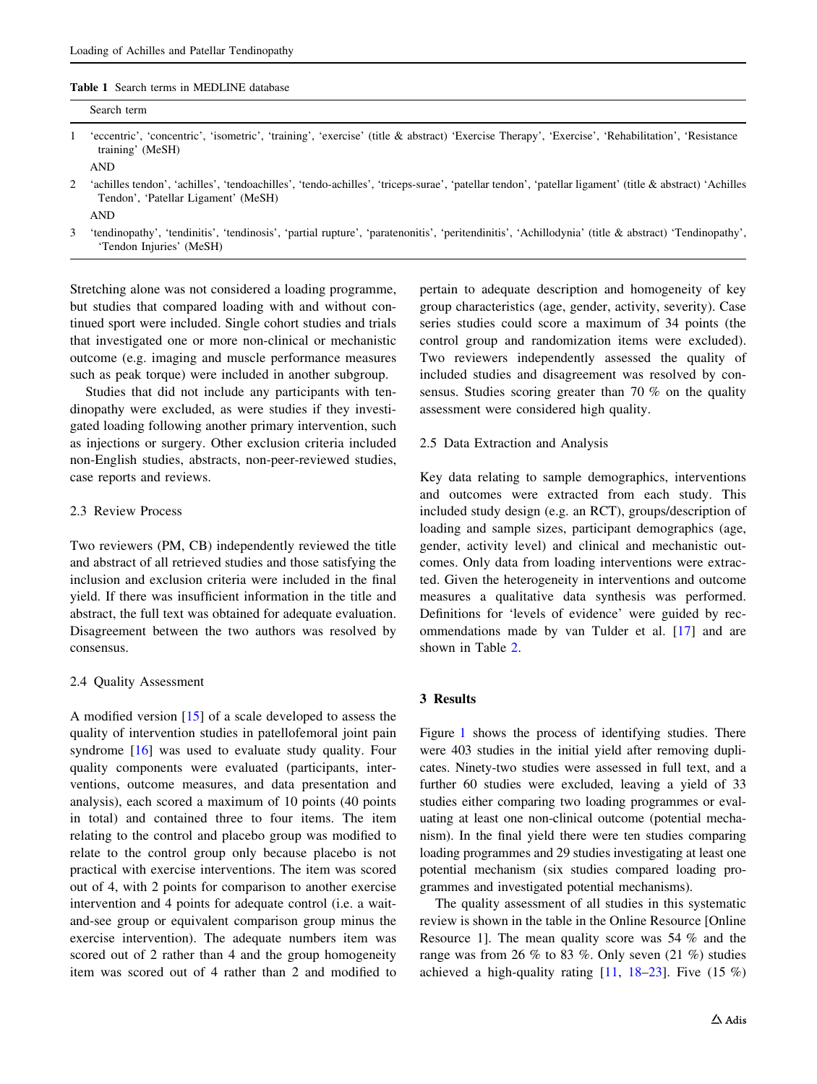#### <span id="page-2-0"></span>Table 1 Search terms in MEDLINE database

| Search term<br>. . |
|--------------------|
|--------------------|

1 'eccentric', 'concentric', 'isometric', 'training', 'exercise' (title & abstract) 'Exercise Therapy', 'Exercise', 'Rehabilitation', 'Resistance training' (MeSH)

AND

- 2 'achilles tendon', 'achilles', 'tendoachilles', 'tendo-achilles', 'triceps-surae', 'patellar tendon', 'patellar ligament' (title & abstract) 'Achilles Tendon', 'Patellar Ligament' (MeSH)
	- AND
- 3 'tendinopathy', 'tendinitis', 'tendinosis', 'partial rupture', 'paratenonitis', 'peritendinitis', 'Achillodynia' (title & abstract) 'Tendinopathy', 'Tendon Injuries' (MeSH)

Stretching alone was not considered a loading programme, but studies that compared loading with and without continued sport were included. Single cohort studies and trials that investigated one or more non-clinical or mechanistic outcome (e.g. imaging and muscle performance measures such as peak torque) were included in another subgroup.

Studies that did not include any participants with tendinopathy were excluded, as were studies if they investigated loading following another primary intervention, such as injections or surgery. Other exclusion criteria included non-English studies, abstracts, non-peer-reviewed studies, case reports and reviews.

# 2.3 Review Process

Two reviewers (PM, CB) independently reviewed the title and abstract of all retrieved studies and those satisfying the inclusion and exclusion criteria were included in the final yield. If there was insufficient information in the title and abstract, the full text was obtained for adequate evaluation. Disagreement between the two authors was resolved by consensus.

#### 2.4 Quality Assessment

A modified version [[15\]](#page-17-0) of a scale developed to assess the quality of intervention studies in patellofemoral joint pain syndrome [\[16](#page-17-0)] was used to evaluate study quality. Four quality components were evaluated (participants, interventions, outcome measures, and data presentation and analysis), each scored a maximum of 10 points (40 points in total) and contained three to four items. The item relating to the control and placebo group was modified to relate to the control group only because placebo is not practical with exercise interventions. The item was scored out of 4, with 2 points for comparison to another exercise intervention and 4 points for adequate control (i.e. a waitand-see group or equivalent comparison group minus the exercise intervention). The adequate numbers item was scored out of 2 rather than 4 and the group homogeneity item was scored out of 4 rather than 2 and modified to pertain to adequate description and homogeneity of key group characteristics (age, gender, activity, severity). Case series studies could score a maximum of 34 points (the control group and randomization items were excluded). Two reviewers independently assessed the quality of included studies and disagreement was resolved by consensus. Studies scoring greater than 70 % on the quality assessment were considered high quality.

#### 2.5 Data Extraction and Analysis

Key data relating to sample demographics, interventions and outcomes were extracted from each study. This included study design (e.g. an RCT), groups/description of loading and sample sizes, participant demographics (age, gender, activity level) and clinical and mechanistic outcomes. Only data from loading interventions were extracted. Given the heterogeneity in interventions and outcome measures a qualitative data synthesis was performed. Definitions for 'levels of evidence' were guided by recommendations made by van Tulder et al. [[17\]](#page-17-0) and are shown in Table [2.](#page-3-0)

## 3 Results

Figure [1](#page-3-0) shows the process of identifying studies. There were 403 studies in the initial yield after removing duplicates. Ninety-two studies were assessed in full text, and a further 60 studies were excluded, leaving a yield of 33 studies either comparing two loading programmes or evaluating at least one non-clinical outcome (potential mechanism). In the final yield there were ten studies comparing loading programmes and 29 studies investigating at least one potential mechanism (six studies compared loading programmes and investigated potential mechanisms).

The quality assessment of all studies in this systematic review is shown in the table in the Online Resource [Online Resource 1]. The mean quality score was 54 % and the range was from 26 % to 83 %. Only seven (21 %) studies achieved a high-quality rating [[11,](#page-17-0) [18–23\]](#page-17-0). Five (15 %)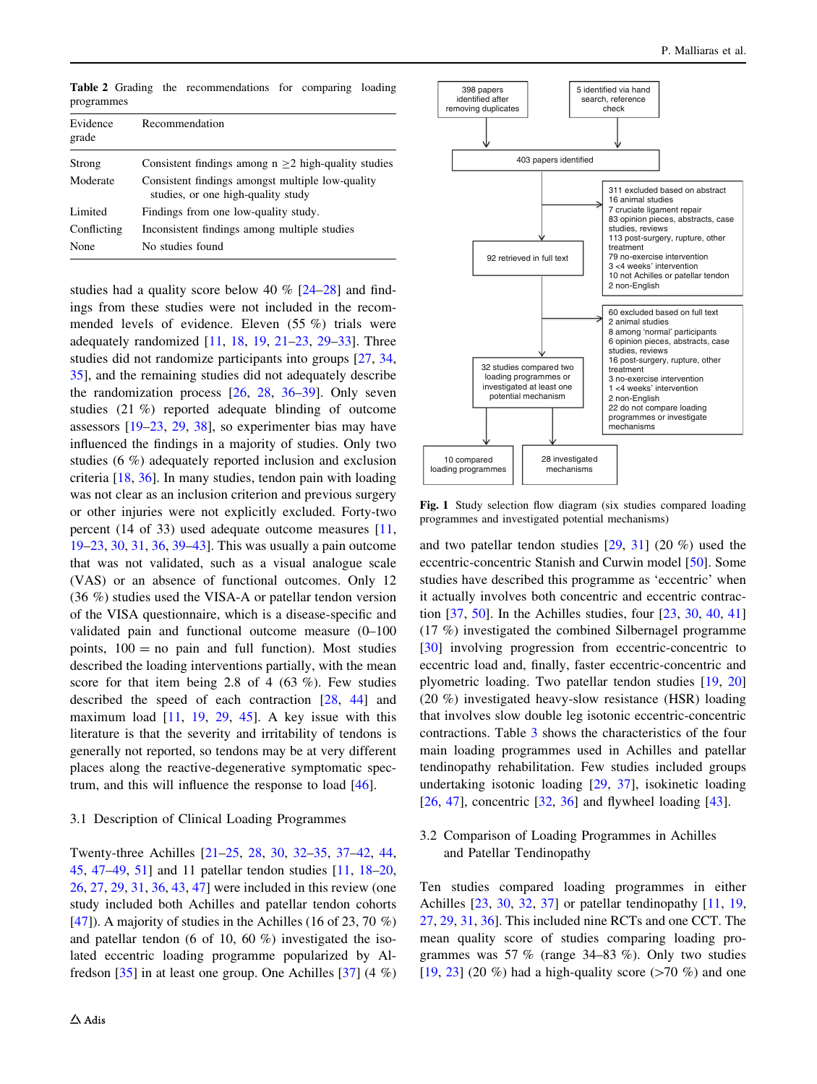<span id="page-3-0"></span>Table 2 Grading the recommendations for comparing loading programmes

| Evidence<br>grade | Recommendation                                                                         |
|-------------------|----------------------------------------------------------------------------------------|
| Strong            | Consistent findings among $n \geq 2$ high-quality studies                              |
| Moderate          | Consistent findings amongst multiple low-quality<br>studies, or one high-quality study |
| Limited           | Findings from one low-quality study.                                                   |
| Conflicting       | Inconsistent findings among multiple studies                                           |
| None              | No studies found                                                                       |

studies had a quality score below 40  $\%$  [[24–28\]](#page-17-0) and findings from these studies were not included in the recommended levels of evidence. Eleven (55 %) trials were adequately randomized [\[11](#page-17-0), [18](#page-17-0), [19](#page-17-0), [21–23](#page-17-0), [29–33](#page-18-0)]. Three studies did not randomize participants into groups [\[27](#page-17-0), [34,](#page-18-0) [35\]](#page-18-0), and the remaining studies did not adequately describe the randomization process [[26,](#page-17-0) [28,](#page-17-0) [36–39](#page-18-0)]. Only seven studies (21 %) reported adequate blinding of outcome assessors [\[19–23](#page-17-0), [29](#page-18-0), [38](#page-18-0)], so experimenter bias may have influenced the findings in a majority of studies. Only two studies (6 %) adequately reported inclusion and exclusion criteria [[18,](#page-17-0) [36\]](#page-18-0). In many studies, tendon pain with loading was not clear as an inclusion criterion and previous surgery or other injuries were not explicitly excluded. Forty-two percent (14 of 33) used adequate outcome measures [[11,](#page-17-0) [19–23,](#page-17-0) [30,](#page-18-0) [31,](#page-18-0) [36,](#page-18-0) [39–43](#page-18-0)]. This was usually a pain outcome that was not validated, such as a visual analogue scale (VAS) or an absence of functional outcomes. Only 12 (36 %) studies used the VISA-A or patellar tendon version of the VISA questionnaire, which is a disease-specific and validated pain and functional outcome measure (0–100 points,  $100 = no$  pain and full function). Most studies described the loading interventions partially, with the mean score for that item being 2.8 of 4  $(63\%)$ . Few studies described the speed of each contraction [[28,](#page-17-0) [44](#page-18-0)] and maximum load [\[11](#page-17-0), [19,](#page-17-0) [29](#page-18-0), [45\]](#page-18-0). A key issue with this literature is that the severity and irritability of tendons is generally not reported, so tendons may be at very different places along the reactive-degenerative symptomatic spectrum, and this will influence the response to load [\[46](#page-18-0)].

## 3.1 Description of Clinical Loading Programmes

Twenty-three Achilles [[21–25,](#page-17-0) [28,](#page-17-0) [30](#page-18-0), [32–35,](#page-18-0) [37–42](#page-18-0), [44,](#page-18-0) [45,](#page-18-0) [47–49](#page-18-0), [51](#page-18-0)] and 11 patellar tendon studies [[11,](#page-17-0) [18–20,](#page-17-0) [26,](#page-17-0) [27,](#page-17-0) [29,](#page-18-0) [31,](#page-18-0) [36](#page-18-0), [43](#page-18-0), [47](#page-18-0)] were included in this review (one study included both Achilles and patellar tendon cohorts [\[47](#page-18-0)]). A majority of studies in the Achilles (16 of 23, 70  $\%$ ) and patellar tendon (6 of 10, 60 %) investigated the isolated eccentric loading programme popularized by Alfredson [\[35](#page-18-0)] in at least one group. One Achilles [[37\]](#page-18-0) (4 %)



Fig. 1 Study selection flow diagram (six studies compared loading programmes and investigated potential mechanisms)

and two patellar tendon studies [[29,](#page-18-0) [31](#page-18-0)] (20 %) used the eccentric-concentric Stanish and Curwin model [[50](#page-18-0)]. Some studies have described this programme as 'eccentric' when it actually involves both concentric and eccentric contraction [\[37](#page-18-0), [50](#page-18-0)]. In the Achilles studies, four [[23,](#page-17-0) [30](#page-18-0), [40](#page-18-0), [41\]](#page-18-0) (17 %) investigated the combined Silbernagel programme [\[30](#page-18-0)] involving progression from eccentric-concentric to eccentric load and, finally, faster eccentric-concentric and plyometric loading. Two patellar tendon studies [\[19](#page-17-0), [20\]](#page-17-0) (20 %) investigated heavy-slow resistance (HSR) loading that involves slow double leg isotonic eccentric-concentric contractions. Table [3](#page-4-0) shows the characteristics of the four main loading programmes used in Achilles and patellar tendinopathy rehabilitation. Few studies included groups undertaking isotonic loading [[29,](#page-18-0) [37](#page-18-0)], isokinetic loading  $[26, 47]$  $[26, 47]$  $[26, 47]$  $[26, 47]$ , concentric  $[32, 36]$  $[32, 36]$  $[32, 36]$  $[32, 36]$  and flywheel loading  $[43]$  $[43]$ .

# 3.2 Comparison of Loading Programmes in Achilles and Patellar Tendinopathy

Ten studies compared loading programmes in either Achilles [\[23](#page-17-0), [30](#page-18-0), [32](#page-18-0), [37](#page-18-0)] or patellar tendinopathy [[11,](#page-17-0) [19,](#page-17-0) [27](#page-17-0), [29,](#page-18-0) [31,](#page-18-0) [36\]](#page-18-0). This included nine RCTs and one CCT. The mean quality score of studies comparing loading programmes was 57 % (range 34–83 %). Only two studies [\[19](#page-17-0), [23](#page-17-0)] (20 %) had a high-quality score ( $>70$  %) and one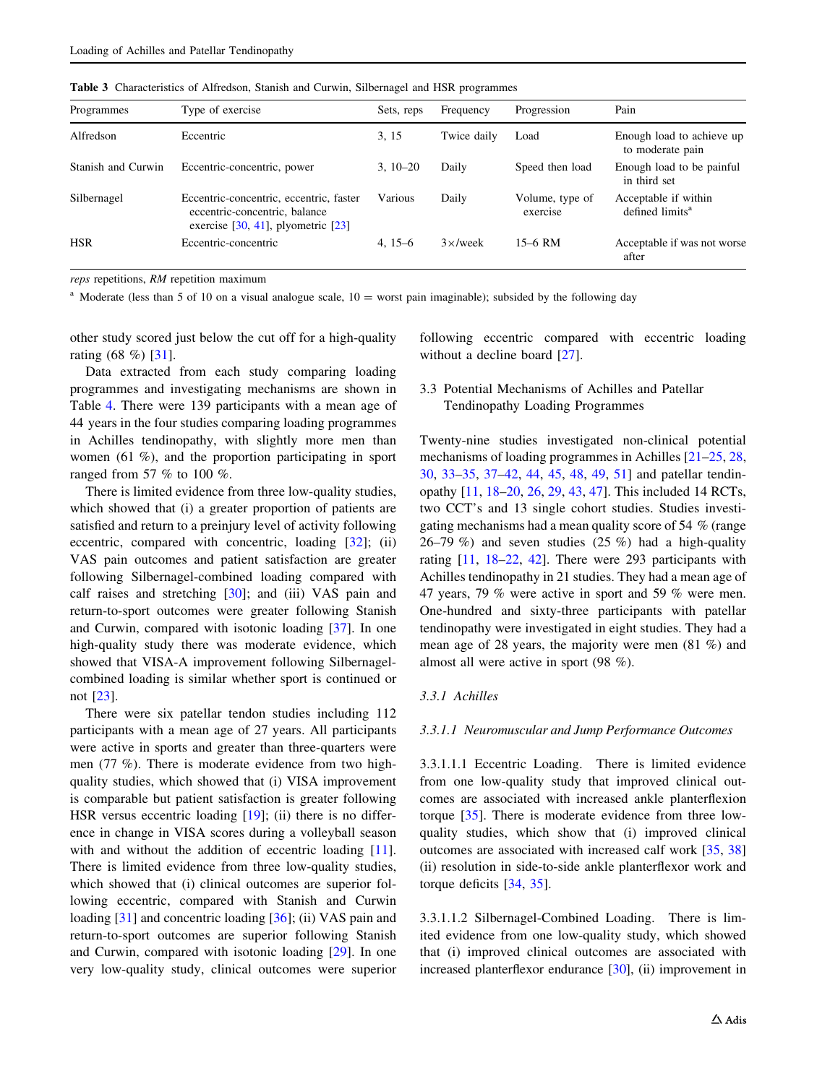| Programmes         | Type of exercise                                                                                                    | Sets, reps  | Frequency        | Progression                 | Pain                                                |
|--------------------|---------------------------------------------------------------------------------------------------------------------|-------------|------------------|-----------------------------|-----------------------------------------------------|
| Alfredson          | Eccentric                                                                                                           | 3, 15       | Twice daily      | Load                        | Enough load to achieve up<br>to moderate pain       |
| Stanish and Curwin | Eccentric-concentric, power                                                                                         | $3.10 - 20$ | Daily            | Speed then load             | Enough load to be painful<br>in third set           |
| Silbernagel        | Eccentric-concentric, eccentric, faster<br>eccentric-concentric, balance<br>exercise $[30, 41]$ , plyometric $[23]$ | Various     | Daily            | Volume, type of<br>exercise | Acceptable if within<br>defined limits <sup>a</sup> |
| <b>HSR</b>         | Eccentric-concentric                                                                                                | $4, 15-6$   | $3 \times$ /week | $15-6$ RM                   | Acceptable if was not worse<br>after                |

<span id="page-4-0"></span>Table 3 Characteristics of Alfredson, Stanish and Curwin, Silbernagel and HSR programmes

reps repetitions, RM repetition maximum

<sup>a</sup> Moderate (less than 5 of 10 on a visual analogue scale,  $10 =$  worst pain imaginable); subsided by the following day

other study scored just below the cut off for a high-quality rating (68 %) [[31\]](#page-18-0).

Data extracted from each study comparing loading programmes and investigating mechanisms are shown in Table [4](#page-5-0). There were 139 participants with a mean age of 44 years in the four studies comparing loading programmes in Achilles tendinopathy, with slightly more men than women (61 %), and the proportion participating in sport ranged from 57 % to 100 %.

There is limited evidence from three low-quality studies, which showed that (i) a greater proportion of patients are satisfied and return to a preinjury level of activity following eccentric, compared with concentric, loading [[32\]](#page-18-0); (ii) VAS pain outcomes and patient satisfaction are greater following Silbernagel-combined loading compared with calf raises and stretching [[30](#page-18-0)]; and (iii) VAS pain and return-to-sport outcomes were greater following Stanish and Curwin, compared with isotonic loading [[37\]](#page-18-0). In one high-quality study there was moderate evidence, which showed that VISA-A improvement following Silbernagelcombined loading is similar whether sport is continued or not [\[23](#page-17-0)].

There were six patellar tendon studies including 112 participants with a mean age of 27 years. All participants were active in sports and greater than three-quarters were men (77 %). There is moderate evidence from two highquality studies, which showed that (i) VISA improvement is comparable but patient satisfaction is greater following HSR versus eccentric loading [\[19](#page-17-0)]; (ii) there is no difference in change in VISA scores during a volleyball season with and without the addition of eccentric loading [\[11](#page-17-0)]. There is limited evidence from three low-quality studies, which showed that (i) clinical outcomes are superior following eccentric, compared with Stanish and Curwin loading [[31\]](#page-18-0) and concentric loading [\[36](#page-18-0)]; (ii) VAS pain and return-to-sport outcomes are superior following Stanish and Curwin, compared with isotonic loading [[29\]](#page-18-0). In one very low-quality study, clinical outcomes were superior

following eccentric compared with eccentric loading without a decline board [[27\]](#page-17-0).

# 3.3 Potential Mechanisms of Achilles and Patellar Tendinopathy Loading Programmes

Twenty-nine studies investigated non-clinical potential mechanisms of loading programmes in Achilles [\[21–25](#page-17-0), [28,](#page-17-0) [30](#page-18-0), [33–35](#page-18-0), [37–42,](#page-18-0) [44,](#page-18-0) [45,](#page-18-0) [48,](#page-18-0) [49,](#page-18-0) [51\]](#page-18-0) and patellar tendinopathy [\[11](#page-17-0), [18–20](#page-17-0), [26,](#page-17-0) [29,](#page-18-0) [43,](#page-18-0) [47\]](#page-18-0). This included 14 RCTs, two CCT's and 13 single cohort studies. Studies investigating mechanisms had a mean quality score of 54 % (range 26–79 %) and seven studies  $(25 \%)$  had a high-quality rating [\[11](#page-17-0), [18–22,](#page-17-0) [42](#page-18-0)]. There were 293 participants with Achilles tendinopathy in 21 studies. They had a mean age of 47 years, 79 % were active in sport and 59 % were men. One-hundred and sixty-three participants with patellar tendinopathy were investigated in eight studies. They had a mean age of 28 years, the majority were men (81 %) and almost all were active in sport (98 %).

## 3.3.1 Achilles

## 3.3.1.1 Neuromuscular and Jump Performance Outcomes

3.3.1.1.1 Eccentric Loading. There is limited evidence from one low-quality study that improved clinical outcomes are associated with increased ankle planterflexion torque [\[35](#page-18-0)]. There is moderate evidence from three lowquality studies, which show that (i) improved clinical outcomes are associated with increased calf work [\[35](#page-18-0), [38\]](#page-18-0) (ii) resolution in side-to-side ankle planterflexor work and torque deficits [[34,](#page-18-0) [35](#page-18-0)].

3.3.1.1.2 Silbernagel-Combined Loading. There is limited evidence from one low-quality study, which showed that (i) improved clinical outcomes are associated with increased planterflexor endurance [[30\]](#page-18-0), (ii) improvement in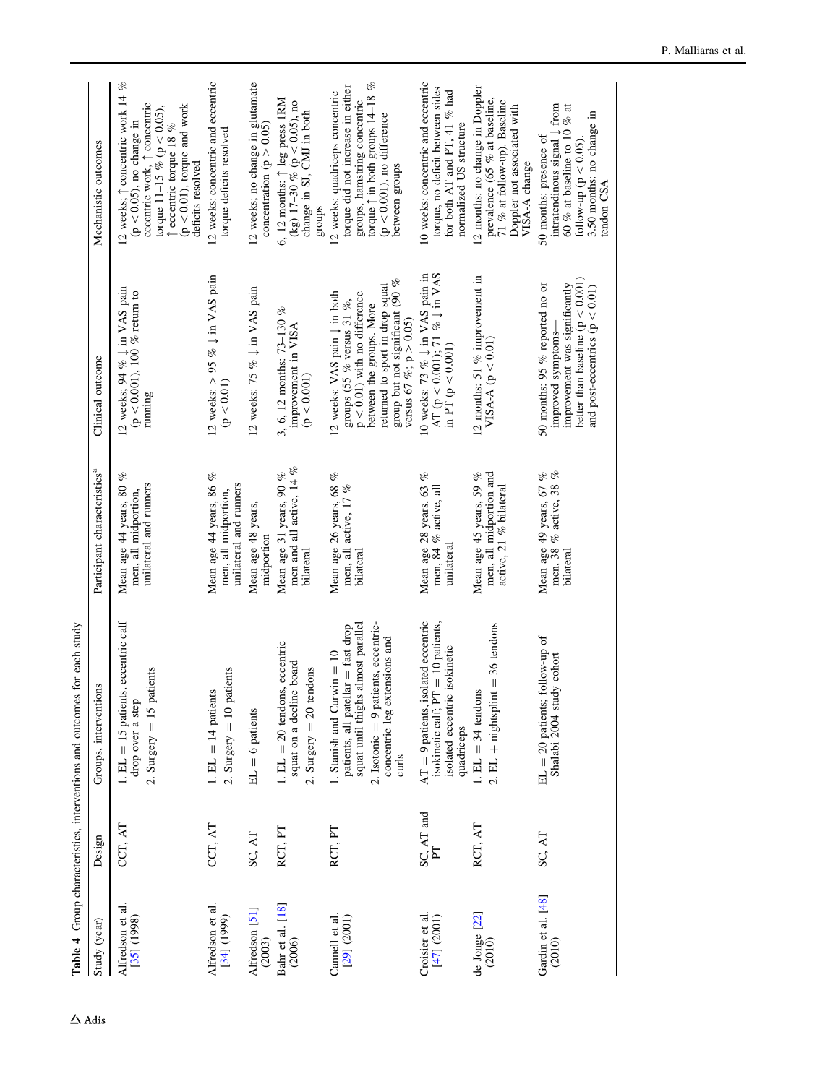<span id="page-5-0"></span>

|                                 |                                                | for each study<br>Table 4 Group characteristics, interventions and outcomes                                                                                                                  |                                                                              |                                                                                                                                                                                                                                        |                                                                                                                                                                                                                                                    |
|---------------------------------|------------------------------------------------|----------------------------------------------------------------------------------------------------------------------------------------------------------------------------------------------|------------------------------------------------------------------------------|----------------------------------------------------------------------------------------------------------------------------------------------------------------------------------------------------------------------------------------|----------------------------------------------------------------------------------------------------------------------------------------------------------------------------------------------------------------------------------------------------|
| Study (year)                    | Design                                         | Groups, interventions                                                                                                                                                                        | Participant characteristics <sup>a</sup>                                     | Clinical outcome                                                                                                                                                                                                                       | Mechanistic outcomes                                                                                                                                                                                                                               |
| Alfredson et al.<br>[35] (1998) | CCT, AT                                        | 1. EL = 15 patients, eccentric calf<br>2. Surgery $= 15$ patients<br>drop over a step                                                                                                        | Mean age 44 years, 80 %<br>unilateral and runners<br>men, all midportion,    | 12 weeks; 94 % $\downarrow$ in VAS pain<br>( $p < 0.001$ ), 100 % return to<br>running                                                                                                                                                 | 12 weeks; $\uparrow$ concentric work 14 %<br>eccentric work, $\uparrow$ concentric<br>$(p < 0.01)$ , torque and work<br>torque 11–15 % ( $p < 0.05$ ),<br>( $p < 0.05$ ), no change in<br>$\uparrow$ eccentric torque 18 $\%$<br>deficits resolved |
| Alfredson et al.<br>[34] (1999) | CCT, AT                                        | 2. Surgery $= 10$ patients<br>1. EL = $14$ patients                                                                                                                                          | Mean age 44 years, 86 %<br>unilateral and runners<br>men, all midportion,    | 12 weeks: $> 95 \%$ $\downarrow$ in VAS pain (p < 0.01)                                                                                                                                                                                | 12 weeks: concentric and eccentric<br>torque deficits resolved                                                                                                                                                                                     |
| Alfredson [51]<br>(2003)        | SC, AT                                         | $EL = 6$ patients                                                                                                                                                                            | Mean age 48 years,<br>midportion                                             | 12 weeks: 75 % $\downarrow$ in VAS pain                                                                                                                                                                                                | 12 weeks; no change in glutamate<br>concentration ( $p > 0.05$ )                                                                                                                                                                                   |
| Bahr et al. [18]<br>(2006)      | RCT, PT                                        | 1. EL = 20 tendons, eccentric<br>board<br>2. Surgery $=$ 20 tendons<br>squat on a decline                                                                                                    | men and all active, 14 %<br>Mean age 31 years, 90 %<br>bilateral             | 3, 6, 12 months: $73-130\%$<br>improvement in VISA<br>$\left(\mathrm{p}<0.001\right)$                                                                                                                                                  | 6, 12 months: $\uparrow$ leg press 1RM<br>(kg) 17-30 % (p < 0.05), no<br>change in SJ, CMJ in both<br>groups                                                                                                                                       |
| [29] (2001)<br>Cannell et al.   | RCT, PT                                        | squat until thighs almost parallel<br>2. Isotonic $= 9$ patients, eccentric-<br>patients, all patellar = fast drop<br>concentric leg extensions and<br>1. Stanish and Curwin $= 10$<br>curls | Mean age 26 years, 68 %<br>men, all active, 17 %<br>bilateral                | group but not significant (90 %<br>returned to sport in drop squat<br>12 weeks: VAS pain $\downarrow$ in both<br>$p < 0.01$ ) with no difference<br>groups (55 % versus 31 %,<br>between the groups. More<br>versus 67 %; $p > 0.05$ ) | torque $\uparrow$ in both groups 14-18 %<br>torque did not increase in either<br>12 weeks: quadriceps concentric<br>groups, hamstring concentric<br>$(p \le 0.001)$ , no difference<br>between groups                                              |
| Croisier et al.<br>[47] (2001)  | $\mathop{\rm SC}_\mathop{\rm PT}\nolimits$ and | $AT = 9$ patients, isolated eccentric<br>$= 10$ patients,<br>isolated eccentric isokinetic<br>isokinetic calf; PT<br>quadriceps                                                              | Mean age 28 years, 63 %<br>men, 84 % active, all<br>unilateral               | 10 weeks: 73 % $\downarrow$ in VAS pain in<br>AT (p < 0.001); 71 % $\downarrow$ in VAS<br>in PT ( $p < 0.001$ )                                                                                                                        | 10 weeks: concentric and eccentric<br>torque, no deficit between sides<br>for both AT and PT, 41 $%$ had<br>normalized US structure                                                                                                                |
| de Jonge $[22]$<br>$(2010)$     | RCT, AT                                        | $=$ 36 tendons<br>1. EL = $34$ tendons<br>2. EL + nightsplint                                                                                                                                | men, all midportion and<br>Mean age 45 years, 59 %<br>active, 21 % bilateral | 12 months: 51 % improvement in<br>$VISA-A (p < 0.01)$                                                                                                                                                                                  | 12 months: no change in Doppler<br>prevalence (65 $%$ at baseline,<br>71 % at follow-up). Baseline<br>Doppler not associated with<br>VISA-A change                                                                                                 |
| Gardin et al. [48]<br>(2010)    | SC, AT                                         | $EL = 20$ patients; follow-up of Shalabi 2004 study cohort                                                                                                                                   | men, 38 % active, 38 %<br>Mean age 49 years, 67 %<br>bilateral               | better than baseline ( $p < 0.001$ )<br>50 months: 95 % reported no or<br>improvement was significantly<br>and post-eccentrics ( $p < 0.01$ )<br>improved symptoms-                                                                    | intratendinous signal $\downarrow$ from<br>60 % at baseline to 10 % at<br>3.50 months: no change in<br>50 months: presence of<br>follow-up ( $p < 0.05$ ).<br>tendon CSA                                                                           |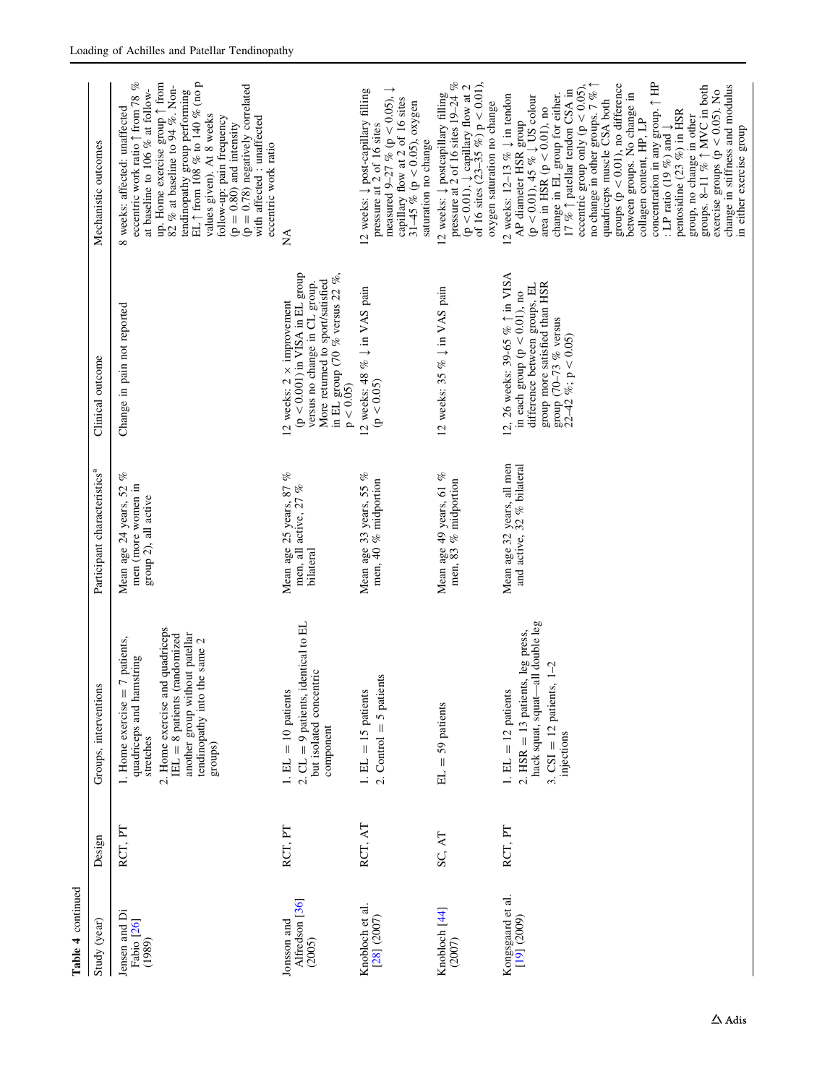| Table 4 continued                       |         |                                                                                                                                                                                                                                |                                                                       |                                                                                                                                                                                                  |                                                                                                                                                                                                                                                                                                                                                                                                                                                                                                                                                                                                                                                                                                                          |
|-----------------------------------------|---------|--------------------------------------------------------------------------------------------------------------------------------------------------------------------------------------------------------------------------------|-----------------------------------------------------------------------|--------------------------------------------------------------------------------------------------------------------------------------------------------------------------------------------------|--------------------------------------------------------------------------------------------------------------------------------------------------------------------------------------------------------------------------------------------------------------------------------------------------------------------------------------------------------------------------------------------------------------------------------------------------------------------------------------------------------------------------------------------------------------------------------------------------------------------------------------------------------------------------------------------------------------------------|
| Study (year)                            | Design  | 5<br>Groups, intervention                                                                                                                                                                                                      | Participant characteristics <sup>a</sup>                              | Clinical outcome                                                                                                                                                                                 | Mechanistic outcomes                                                                                                                                                                                                                                                                                                                                                                                                                                                                                                                                                                                                                                                                                                     |
| Jensen and Di<br>Fabio [26]<br>(1989)   | RCT, PT | 2. Home exercise and quadriceps<br>another group without patellar<br>(randomized<br>1. Home exercise $= 7$ patients,<br>tendinopathy into the same 2<br>quadriceps and hamstring<br>IEL $= 8$ patients<br>stretches<br>groups) | Mean age 24 years, 52 %<br>men (more women in<br>group 2), all active | Change in pain not reported                                                                                                                                                                      | up. Home exercise group $\uparrow$ from<br>82 % at baseline to 94 %. Non-<br>tendinopathy group performing<br>EL $\uparrow$ from 108 % to 140 % (no p<br>eccentric work ratio $\uparrow$ from 78 $\%$<br>$\dot{\rho} = 0.78$ ) negatively correlated<br>at baseline to 106 % at follow-<br>8 weeks: affected: unaffected<br>values given). At 8 weeks<br>follow-up: pain frequency<br>( $p = 0.80$ ) and intensity<br>with affected : unaffected<br>eccentric work ratio                                                                                                                                                                                                                                                 |
| Alfredson [36]<br>Jonsson and<br>(2005) | RCT, PT | identical to EL<br>2. CL = 9 patients, ident<br>but isolated concentric<br>1. EL = $10$ patients<br>component                                                                                                                  | Mean age 25 years, 87 %<br>men, all active, 27 %<br>bilateral         | $(p < 0.001)$ in VISA in EL group<br>in EL group (70 % versus 22 %,<br>More returned to sport/satisfied<br>versus no change in CL group.<br>$2$ weeks: $2 \times$ improvement<br>$\rm p < 0.05)$ | Á                                                                                                                                                                                                                                                                                                                                                                                                                                                                                                                                                                                                                                                                                                                        |
| Knobloch et al.<br>[28] (2007)          | RCT, AT | 2. Control = $5$ patients<br>1. EL = $15$ patients                                                                                                                                                                             | Mean age 33 years, 55 %<br>men, 40 % midportion                       | 12 weeks: 48 % $\downarrow$ in VAS pain<br>(p < 0.05)                                                                                                                                            | 12 weeks: $\downarrow$ post-capillary filling<br>measured 9–27 % (p < 0.05),<br>capillary flow at 2 of 16 sites<br>31–45 % ( $p < 0.05$ ), oxygen<br>pressure at 2 of 16 sites<br>saturation no change                                                                                                                                                                                                                                                                                                                                                                                                                                                                                                                   |
| Knobloch <sup>[44]</sup><br>(2007)      | SC, AT  | $=$ 59 patients<br>E                                                                                                                                                                                                           | Mean age 49 years, 61 % men, 83 % midportion                          | 12 weeks: 35 % $\downarrow$ in VAS pain                                                                                                                                                          | 12 weeks: $\downarrow$ postcapillary filling<br>pressure at 2 of 16 sites 19–24 %<br>of 16 sites $(23-35\%)$ p < 0.01),<br>$(p < 0.01)$ , $\downarrow$ capillary flow at 2<br>oxygen saturation no change                                                                                                                                                                                                                                                                                                                                                                                                                                                                                                                |
| Kongsgaard et al.<br>[19] (2009)        | RCT, PT | hack squat, squat-all double leg<br>$2.$ HSR = 13 patients, leg press,<br>3. CSI = 12 patients, $1-2$<br>1. EL = $12$ patients<br>injections                                                                                   | Mean age 32 years, all men<br>and active, 32 % bilateral              | 12, 26 weeks: 39-65 % $\uparrow$ in VISA<br>group more satisfied than HSR<br>difference between groups, EL<br>in each group (p $<0.01$ ), no<br>group (70–73 % versus<br>22–42 %; p < 0.05)      | concentration in any group. 1 HP<br>no change in other groups. 7 % $\uparrow$ quadriceps muscle CSA both<br>groups ( $p < 0.01$ ), no difference<br>change in stiffness and modulus<br>eccentric group only ( $p < 0.05$ ),<br>group, no change in other<br>groups. 8–11 % $\uparrow$ MVC in both<br>exercise groups ( $p < 0.05$ ). No<br>change in EL group for either.<br>17 % $\uparrow$ patellar tendon CSA in<br>between groups. No change in<br>12 weeks: $12-13 %$ in tendon<br>AP diameter HSR group<br>(p < 0.01), 45 % $\downarrow$ US colour<br>area in HSR ( $p < 0.01$ ), no<br>pentosidine $(23 \%)$ in HSR<br>collagen content, HP, LP<br>in either exercise group<br>: LP ratio (19 %) and $\downarrow$ |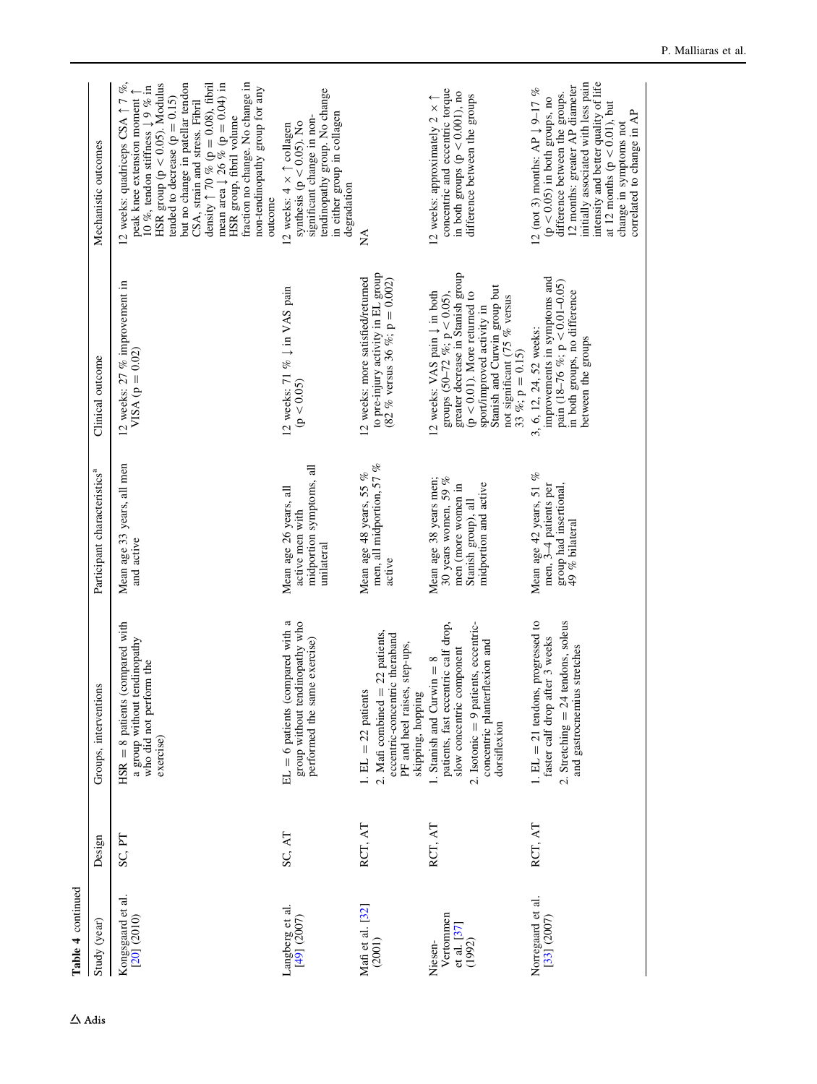| Table 4 continued                             |         |                                                                                                                                                                                            |                                                                                                                        |                                                                                                                                                                                                                                                                            |                                                                                                                                                                                                                                                                                                                                                                                                                                                                               |
|-----------------------------------------------|---------|--------------------------------------------------------------------------------------------------------------------------------------------------------------------------------------------|------------------------------------------------------------------------------------------------------------------------|----------------------------------------------------------------------------------------------------------------------------------------------------------------------------------------------------------------------------------------------------------------------------|-------------------------------------------------------------------------------------------------------------------------------------------------------------------------------------------------------------------------------------------------------------------------------------------------------------------------------------------------------------------------------------------------------------------------------------------------------------------------------|
| Study (year)                                  | Design  | Groups, interventions                                                                                                                                                                      | Participant characteristics <sup>a</sup>                                                                               | Clinical outcome                                                                                                                                                                                                                                                           | Mechanistic outcomes                                                                                                                                                                                                                                                                                                                                                                                                                                                          |
| ನ<br>Kongsgaard et<br>[20] (2010)             | SC, PT  | $HSR = 8$ patients (compared with<br>a group without tendinopathy<br>who did not perform the<br>exercise)                                                                                  | Mean age 33 years, all men<br>and active                                                                               | 12 weeks: $27%$ improvement in<br>VISA ( $p = 0.02$ )                                                                                                                                                                                                                      | 12 weeks: quadriceps CSA ↑ 7 %,<br>density $\uparrow$ 70 % ( $p = 0.08$ ), fibril<br>mean area $\downarrow$ 26 % ( $p = 0.04$ ) in<br>HSR group ( $p < 0.05$ ). Modulus<br>fraction no change. No change in<br>but no change in patellar tendon<br>10 %, tendon stiffness $\downarrow$ 9 % in<br>non-tendinopathy group for any<br>peak knee extension moment (<br>tended to decrease ( $p = 0.15$ )<br>CSA, strain and stress. Fibril<br>HSR group, fibril volume<br>outcome |
| Langberg et al.<br>[49] $(2007)$              | SC, AT  | $EL = 6$ patients (compared with a<br>group without tendinopathy who<br>performed the same exercise)                                                                                       | midportion symptoms, all<br>Mean age 26 years, all<br>active men with<br>unilateral                                    | 12 weeks: 71 % $\downarrow$ in VAS pain<br>$\left(\mathrm{p}<0.05\right)$                                                                                                                                                                                                  | tendinopathy group. No change<br>in either group in collagen<br>significant change in non-<br>synthesis ( $p < 0.05$ ). No<br>12 weeks: $4 \times \uparrow$ collagen<br>degradation                                                                                                                                                                                                                                                                                           |
| Mafi et al. [32]<br>(2001)                    | RCT, AT | 2. Mafi combined $= 22$ patients,<br>ecentric-concentric theraband<br>PF and heel raises, step-ups,<br>1. EL = $22$ patients<br>skipping, hopping                                          | men, all midportion, 57 %<br>Mean age 48 years, 55 %<br>active                                                         | to pre-injury activity in EL group<br>12 weeks: more satisfied/returned<br>(82 % versus 36 %; $p = 0.002$ )                                                                                                                                                                | Á                                                                                                                                                                                                                                                                                                                                                                                                                                                                             |
| Vertommen<br>et al. [37]<br>(1992)<br>Niesen- | RCT, AT | 2. Isotonic $= 9$ patients, eccentric-<br>patients, fast eccentric calf drop,<br>concentric planterflexion and<br>slow concentric component<br>1. Stanish and Curwin $= 8$<br>dorsiflexion | Mean age 38 years men;<br>30 years women, 59 $%$<br>men (more women in<br>midportion and active<br>Stanish group), all | greater decrease in Stanish group<br>Stanish and Curwin group but<br>12 weeks: VAS pain ↓ in both<br>( $p < 0.01$ ). More returned to<br>groups $(50-72 \frac{\omega}{6}; p < 0.05)$ ,<br>not significant (75 % versus<br>sport/improved activity in<br>33 %; $p = 0.15$ ) | concentric and eccentric torque<br>in both groups ( $p < 0.001$ ), no<br>difference between the groups<br>12 weeks: approximately $2 \times \uparrow$                                                                                                                                                                                                                                                                                                                         |
| Norregaard et al.<br>[33] (2007)              | RCT, AT | $1.EL = 21$ tendons, progressed to<br>2. Stretching $=$ 24 tendons, soleus<br>faster calf drop after 3 weeks<br>stretches<br>and gastrocnemius                                             | Mean age 42 years, 51 $\%$<br>men, 3-4 patients per<br>group had insertional,<br>$49%$ bilateral                       | improvements in symptoms and<br>pain (18-76 %; p < 0.01-0.05)<br>in both groups, no difference<br>3, 6, 12, 24, 52 weeks:<br>between the groups                                                                                                                            | initially associated with less pain<br>intensity and better quality of life<br>12 months: greater AP diameter<br>12 (not 3) months: AP $\downarrow$ 9-17 %<br>difference between the groups.<br>$(p < 0.05)$ in both groups, no<br>at 12 months ( $p < 0.01$ ), but<br>correlated to change in AP<br>change in symptoms not                                                                                                                                                   |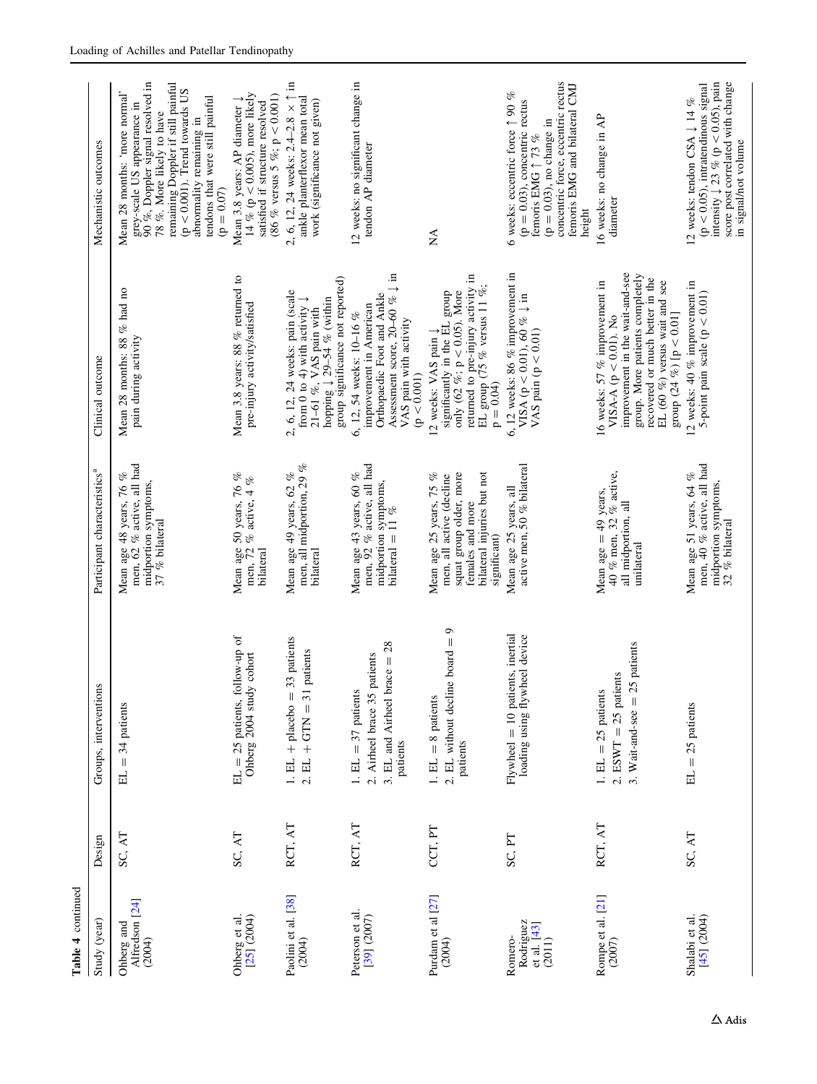| Study (year)                                    | Design  | Groups, interventions                                                                                | Participant characteristics <sup>a</sup>                                                                                                         | Clinical outcome                                                                                                                                                                                                                    | Mechanistic outcomes                                                                                                                                                                                                                                                                             |
|-------------------------------------------------|---------|------------------------------------------------------------------------------------------------------|--------------------------------------------------------------------------------------------------------------------------------------------------|-------------------------------------------------------------------------------------------------------------------------------------------------------------------------------------------------------------------------------------|--------------------------------------------------------------------------------------------------------------------------------------------------------------------------------------------------------------------------------------------------------------------------------------------------|
| Ohberg and<br>Alfredson [24]<br>(2004)          | SC, AT  | $EL = 34$ patients                                                                                   | Mean age 48 years, 76 %<br>men, 62 % active, all had<br>midportion symptoms,<br>37 % bilateral                                                   | Mean 28 months: 88 % had no<br>pain during activity                                                                                                                                                                                 | grey-scale US appearance in<br>90 %, Doppler signal resolved in<br>remaining Doppler if still painful<br>$(p < 0.001)$ . Trend towards US<br>Mean 28 months: 'more normal'<br>tendons that were still painful<br>78 %. More likely to have<br>abnormality remaining in<br>$\left( p=0.07\right)$ |
| Ohberg et al.<br>[ $25$ ] (2004)                | SC, AT  | $EL = 25$ patients, follow-up of Otherg 2004 study cohort                                            | Mean age 50 years, 76 %<br>men, 72 % active, 4 %<br>bilateral                                                                                    | Mean 3.8 years: 88 % returned to<br>pre-injury activity/satisfied                                                                                                                                                                   | 14 % ( $p < 0.005$ ), more likely<br>(86 % versus 5 %; $p < 0.001$ )<br>Mean 3.8 years: AP diameter $\downarrow$<br>satisfied if structure resolved                                                                                                                                              |
| Paolini et al. [38]<br>(2004)                   | RCT, AT | 33 patients<br>$2. EL + GTN = 31$ patients<br>1. EL + placebo $=$                                    | men, all midportion, 29 %<br>Mean age 49 years, 62 $\%$<br>bilateral                                                                             | group significance not reported)<br>2, 6, 12, 24 weeks: pain (scale<br>from 0 to 4) with activity $\downarrow$<br>21–61 %, VAS pain with<br>hopping $\downarrow$ 29–54 % (within                                                    | 2, 6, 12, 24 weeks: $2.4 - 2.8 \times \hat{\tau}$ in<br>ankle planterflexor mean total<br>work (significance not given)                                                                                                                                                                          |
| Peterson et al.<br>[39] (2007)                  | RCT, AT | 3. EL and Airheel brace = 28<br>patients<br>1. EL = $37$ patients<br>2. Airheel brace 35<br>patients | Mean age 43 years, 60 %<br>men, 92 % active, all had<br>midportion symptoms,<br>bilateral = $11\%$                                               | Assessment score, 20-60 $\%$ $\downarrow$ in<br>Orthopaedic Foot and Ankle<br>improvement in American<br>6, 12, 54 weeks: 10-16 %<br>VAS pain with activity<br>$\left( p < 0.001 \right)$                                           | 12 weeks: no significant change in<br>tendon AP diameter                                                                                                                                                                                                                                         |
| Purdam et al [27]<br>(2004)                     | CCT, PT | 2. EL without decline board $= 9$<br>1. EL = $8$ patients<br>patients                                | bilateral injuries but not<br>Mean age 25 years, 75 %<br>squat group older, more<br>men, all active (decline<br>females and more<br>significant) | returned to pre-injury activity in<br>EL group (75 % versus 11 %;<br>only (62 %; $p < 0.05$ ). More<br>12 weeks: VAS pain $\downarrow$ significantly in the EL group<br>$p = 0.04$                                                  | ΧÁ                                                                                                                                                                                                                                                                                               |
| Rodriguez<br>et al. $[43]$<br>(2011)<br>Romero- | SC, PT  | Flywheel = 10 patients, inertial<br>loading using flywheel device                                    | active men, 50 % bilateral<br>Mean age 25 years, all                                                                                             | 6, 12 weeks: 86 % improvement in<br>VISA (p < 0.01), 60 % $\downarrow$ in<br>VAS pain ( $p < 0.01$ )                                                                                                                                | concentric force, eccentric rectus<br>femoris EMG and bilateral CMJ<br>6 weeks: eccentric force $\uparrow$ 90 %<br>$(p = 0.03)$ , concentric rectus<br>$(p = 0.03)$ , no change in<br>femoris EMG ↑ 73 %<br>height                                                                               |
| Rompe et al. $[21]$<br>$(2007)$                 | RCT, AT | 3. Wait-and-see $=$ 25 patients<br>2. $ESWT = 25$ patients<br>1. EL = $25$ patients                  | Mean age = 49 years,<br>40 % men, 32 % active,<br>all midportion, all<br>unilateral                                                              | improvement in the wait-and-see<br>group. More patients completely<br>recovered or much better in the<br>EL (60 %) versus wait and see<br>16 weeks: 57 $%$ improvement in<br>group $(24 \%)$ [p < 0.01]<br>$VISA-A (p < 0.01)$ . No | 16 weeks: no change in AP<br>diameter                                                                                                                                                                                                                                                            |
| [45] $(2004)$<br>Shalabi et al.                 | SC, AT  | $EL = 25$ patients                                                                                   | men, 40 % active, all had<br>Mean age 51 years, 64 $\%$<br>midportion symptoms,<br>32 % bilateral                                                | 12 weeks: 40 % improvement in<br>5-point pain scale ( $p < 0.01$ )                                                                                                                                                                  | intensity $\downarrow$ 23 % (p < 0.05), pain<br>score post correlated with change<br>$(p < 0.05)$ , intratendinous signal<br>12 weeks: tendon CSA $\downarrow$ 14 %<br>in signal/not volume                                                                                                      |

Table 4 continued

Table 4 continued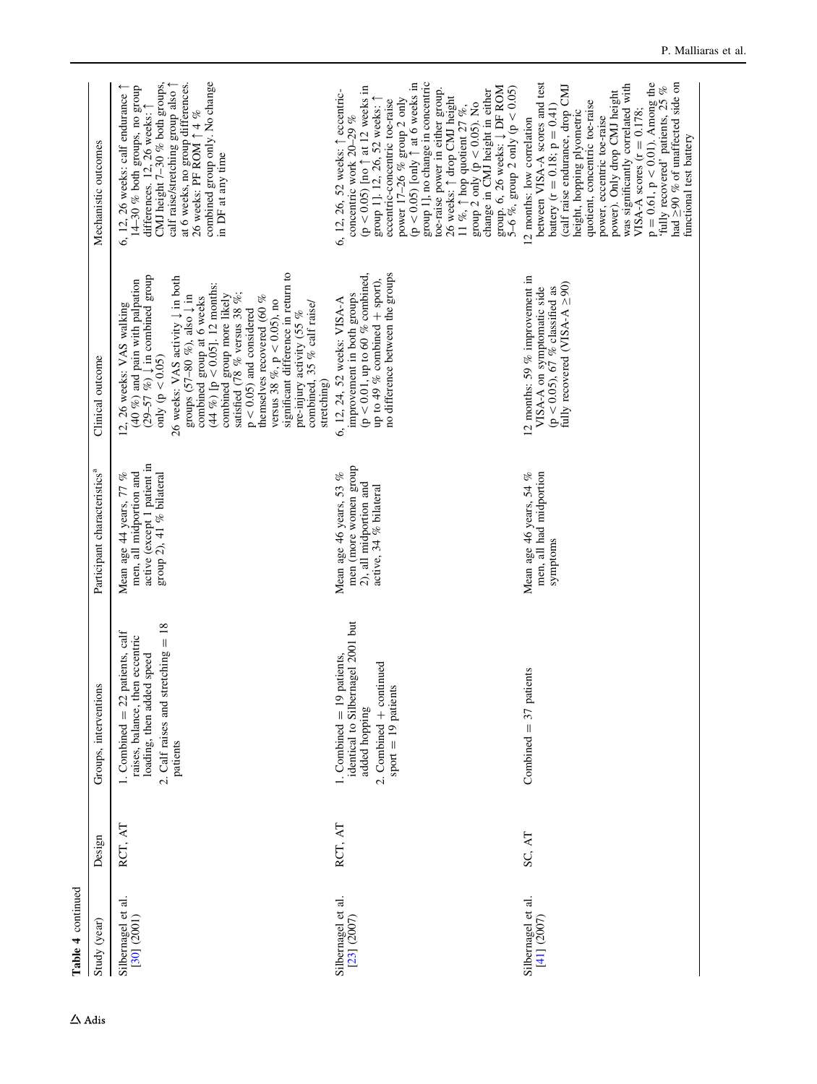| Table 4 continued                 |         |                                                                                                                                                            |                                                                                                               |                                                                                                                                                                                                                                                                                                                                                                                                                                                                                                                                                                     |                                                                                                                                                                                                                                                                                                                                                                                                                                                                                                                                                                               |
|-----------------------------------|---------|------------------------------------------------------------------------------------------------------------------------------------------------------------|---------------------------------------------------------------------------------------------------------------|---------------------------------------------------------------------------------------------------------------------------------------------------------------------------------------------------------------------------------------------------------------------------------------------------------------------------------------------------------------------------------------------------------------------------------------------------------------------------------------------------------------------------------------------------------------------|-------------------------------------------------------------------------------------------------------------------------------------------------------------------------------------------------------------------------------------------------------------------------------------------------------------------------------------------------------------------------------------------------------------------------------------------------------------------------------------------------------------------------------------------------------------------------------|
| Study (year)                      | Design  | Groups, interventions                                                                                                                                      | Participant characteristics <sup>a</sup>                                                                      | Clinical outcome                                                                                                                                                                                                                                                                                                                                                                                                                                                                                                                                                    | Mechanistic outcomes                                                                                                                                                                                                                                                                                                                                                                                                                                                                                                                                                          |
| Silbernagel et al.<br>[30] (2001) | RCT, AT | 2. Calf raises and stretching $= 18$<br>patients, calf<br>raises, balance, then eccentric<br>loading, then added speed<br>$1.$ Combined = $22$<br>patients | active (except 1 patient in<br>men, all midportion and<br>group 2), 41 % bilateral<br>Mean age 44 years, 77 % | significant difference in return to<br>(40 %) and pain with palpation<br>(29–57 %) $\downarrow$ in combined group<br>only (p < 0.05)<br>26 weeks: VAS activity $\downarrow$ in both groups (57–80 %), also $\downarrow$ in<br>(44 %) [ $p \le 0.05$ ]. 12 months:<br>satisfied (78 % versus 38 %;<br>combined group more likely<br>themselves recovered (60 $%$<br>combined group at 6 weeks<br>versus 38 %, $p < 0.05$ ), no<br>combined, 35 % calf raise/<br>12, 26 weeks: VAS walking<br>$p < 0.05$ ) and considered<br>pre-injury activity (55 %<br>stretching) | combined group only. No change<br>CMJ height 7-30 % both groups,<br>at 6 weeks, no group differences.<br>calf raise/stretching group also 1<br>6, 12, 26 weeks: calf endurance $\uparrow$<br>14–30 % both groups, no group<br>differences. 12, 26 weeks: $\uparrow$<br>26 weeks: PF ROM $\uparrow$ 4 %<br>in DF at any time                                                                                                                                                                                                                                                   |
| Silbernagel et al.<br>[23] (2007) | RCT, AT | identical to Silbernagel 2001 but<br>. Combined $= 19$ patients,<br>2. Combined + continued<br>sport $= 19$ patients<br>added hopping                      | men (more women group<br>Mean age 46 years, 53 %<br>2), all midportion and<br>active, 34 % bilateral          | ( $p < 0.01$ , up to 60 % combined,<br>no difference between the groups<br>up to 49 % combined + sport),<br>improvement in both groups<br>6, 12, 24, 52 weeks: VISA-A                                                                                                                                                                                                                                                                                                                                                                                               | group 1], no change in concentric<br>$(p < 0.05)$ [only $\uparrow$ at 6 weeks in<br>( $p < 0.05$ ) [no $\uparrow$ at 12 weeks in<br>group 1]. 12, 26, 52 weeks: $\uparrow$<br>group. 6, 26 weeks: Į DF ROM<br>5–6 %, group 2 only ( $p < 0.05$ )<br>toe-raise power in either group.<br>change in CMJ height in either<br>6, 12, 26, 52 weeks: $\uparrow$ eccentric-<br>power 17-26 % group 2 only<br>26 weeks: $\uparrow$ drop CMJ height<br>eccentric-concentric toe-raise<br>11 %, $\uparrow$ hop quotient 27 %,<br>group 2 only (p < 0.05). No<br>concentric work 20-29 % |
| Silbernagel et al.<br>[41] (2007) | SC, AT  | Combined $=$ 37 patients                                                                                                                                   | men, all had midportion<br>Mean age 46 years, 54 %<br>symptoms                                                | 12 months: 59 $%$ improvement in<br>fully recovered (VISA-A $\geq$ 90)<br>VISA-A on symptomatic side<br>( $p < 0.05$ ), 67 % classified as                                                                                                                                                                                                                                                                                                                                                                                                                          | between VISA-A scores and test<br>had ≥90 % of unaffected side on<br>$p = 0.61$ , $p < 0.01$ ). Among the<br>'fully recovered' patients, 25 %<br>was significantly correlated with<br>(calf raise endurance, drop CMJ<br>power). Only drop CMJ height<br>quotient, concentric toe-raise<br>battery ( $r = 0.18$ ; $p = 0.41$ )<br>VISA-A scores $(r = 0.178;$<br>height, hopping plyometric<br>power, eccentric toe-raise<br>12 months: low correlation<br>functional test battery                                                                                            |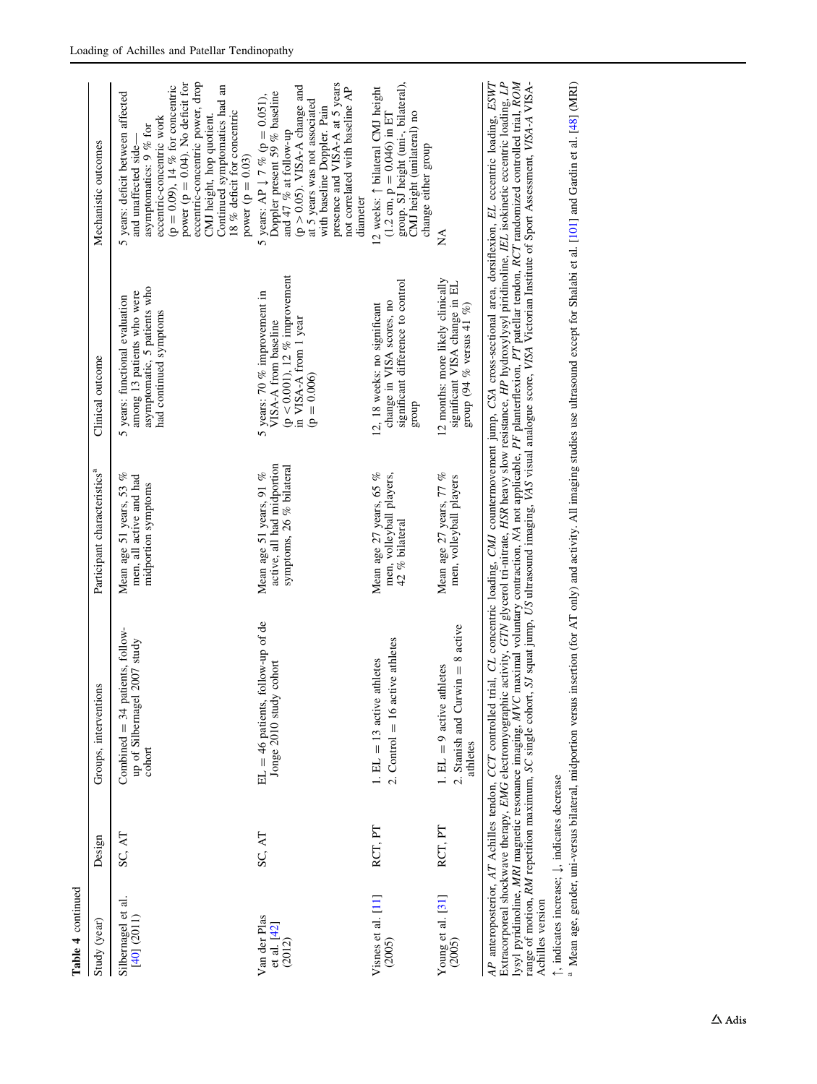| Table 4 continued                       |         |                                                                                                                                                                                                                                                     |                                                                                   |                                                                                                                                     |                                                                                                                                                                                                                                                                                                                                                          |
|-----------------------------------------|---------|-----------------------------------------------------------------------------------------------------------------------------------------------------------------------------------------------------------------------------------------------------|-----------------------------------------------------------------------------------|-------------------------------------------------------------------------------------------------------------------------------------|----------------------------------------------------------------------------------------------------------------------------------------------------------------------------------------------------------------------------------------------------------------------------------------------------------------------------------------------------------|
| Study (year)                            | Design  | Groups, interventions                                                                                                                                                                                                                               | Participant characteristics <sup>a</sup>                                          | Clinical outcome                                                                                                                    | Mechanistic outcomes                                                                                                                                                                                                                                                                                                                                     |
| Silbernagel et al.<br>[40] (2011)       | SC, AT  | Combined = 34 patients, follow-<br>up of Silbernagel 2007 study<br>cohort                                                                                                                                                                           | Mean age 51 years, 53 %<br>men, all active and had<br>midportion symptoms         | asymptomatic, 5 patients who<br>among 13 patients who were<br>5 years: functional evaluation<br>had continued symptoms              | eccentric-concentric power, drop<br>power ( $p = 0.04$ ). No deficit for<br>( $p = 0.09$ ), 14 % for concentric<br>Continued symptomatics had an<br>5 years: deficit between affected<br>18 % deficit for concentric<br>eccentric-concentric work<br>CMJ height, hop quotient.<br>asymptomatics: 9 % for<br>and unaffected side-<br>power ( $p = 0.03$ ) |
| Van der Plas<br>et al. $[42]$<br>(2012) | SC, AT  | follow-up of de<br>Jonge 2010 study cohort<br>$EL = 46$ patients,                                                                                                                                                                                   | active, all had midportion<br>symptoms, 26 % bilateral<br>Mean age 51 years, 91 % | ( $p < 0.001$ ), 12 % improvement<br>5 years: 70 % improvement in<br>in VISA-A from 1 year<br>VISA-A from baseline<br>$(p = 0.006)$ | presence and VISA-A at 5 years<br>( $p > 0.05$ ). VISA-A change and<br>not correlated with baseline AP<br>Doppler present 59 % baseline<br>5 years: AP $\downarrow$ 7 % (p = 0.051),<br>at 5 years was not associated<br>with baseline Doppler. Pain<br>and 47 % at follow-up<br>diameter                                                                |
| Visnes et al. [11]<br>(2005)            | RCT, PT | 2. Control = 16 active athletes<br>1. EL = $13$ active athletes                                                                                                                                                                                     | Mean age 27 years, 65 %<br>men, volleyball players,<br>42 % bilateral             | significant difference to control<br>change in VISA scores, no<br>12, 18 weeks: no significant<br>dnora                             | group. SJ height (uni-, bilateral),<br>2 weeks: $\uparrow$ bilateral CMJ height<br>CMJ height (unilateral) no<br>$(1.2 \text{ cm}, \, p = 0.046)$ in ET<br>change either group                                                                                                                                                                           |
| Young et al. $[31]$<br>(2005)           | RCT, PT | 2. Stanish and Curwin $= 8$ active<br>1. EL = $9$ active athletes<br>athletes                                                                                                                                                                       | Mean age 27 years, 77 %<br>men, volleyball players                                | 12 months: more likely clinically<br>significant VISA change in EL<br>group (94 % versus 41 %)                                      | Ź                                                                                                                                                                                                                                                                                                                                                        |
|                                         |         | Extracorporeal shockwave therapy, EMG electromyographic activity, GTN glycerol tri-nitrate, HSR heavy slow resistance, HP hydroxylysyl piridinoline, IEL isokinetic eccentric loading, LP<br>AP anteroposterior, AT Achilles tendon, CCT controlled |                                                                                   | trial, CL concentric loading, CMJ countermovement jump, CSA cross-sectional area, dorsiflexion, EL eccentric loading, ESWT          |                                                                                                                                                                                                                                                                                                                                                          |

| activity, GTN glycerol tri-nitrate, HSR heavy slow resistance, HP hydroxylysyl piridinoline, IEL isokinetic eccentric loading, LP<br>range of motion, RM repetition maximum, SC single cohort, SJ squat jump, US ultrasound imaging, VAS visual analogue score, VISA Victorian Institute of Sport Assessment, VISA-A VISA-<br>lysyl pyridinoline, MRI magnetic resonance imaging, MVC maximal voluntary contraction, NA not applicable, PF planterflexion, PT patellar tendon, RCT randomized controlled trial, ROM<br>Extracorporeal shockwave therapy, EMG electromyographic<br>↑, indicates increase; ↓, indicates decrease<br>Achilles version | insertion (for AT only) and activity. All imaging studies use ultrasound except for Shalabi et al. [101] and Gardin et al. [48] (MRI)<br>Mean age, gender, uni-versus bilateral, midportion versus i |
|----------------------------------------------------------------------------------------------------------------------------------------------------------------------------------------------------------------------------------------------------------------------------------------------------------------------------------------------------------------------------------------------------------------------------------------------------------------------------------------------------------------------------------------------------------------------------------------------------------------------------------------------------|------------------------------------------------------------------------------------------------------------------------------------------------------------------------------------------------------|
|----------------------------------------------------------------------------------------------------------------------------------------------------------------------------------------------------------------------------------------------------------------------------------------------------------------------------------------------------------------------------------------------------------------------------------------------------------------------------------------------------------------------------------------------------------------------------------------------------------------------------------------------------|------------------------------------------------------------------------------------------------------------------------------------------------------------------------------------------------------|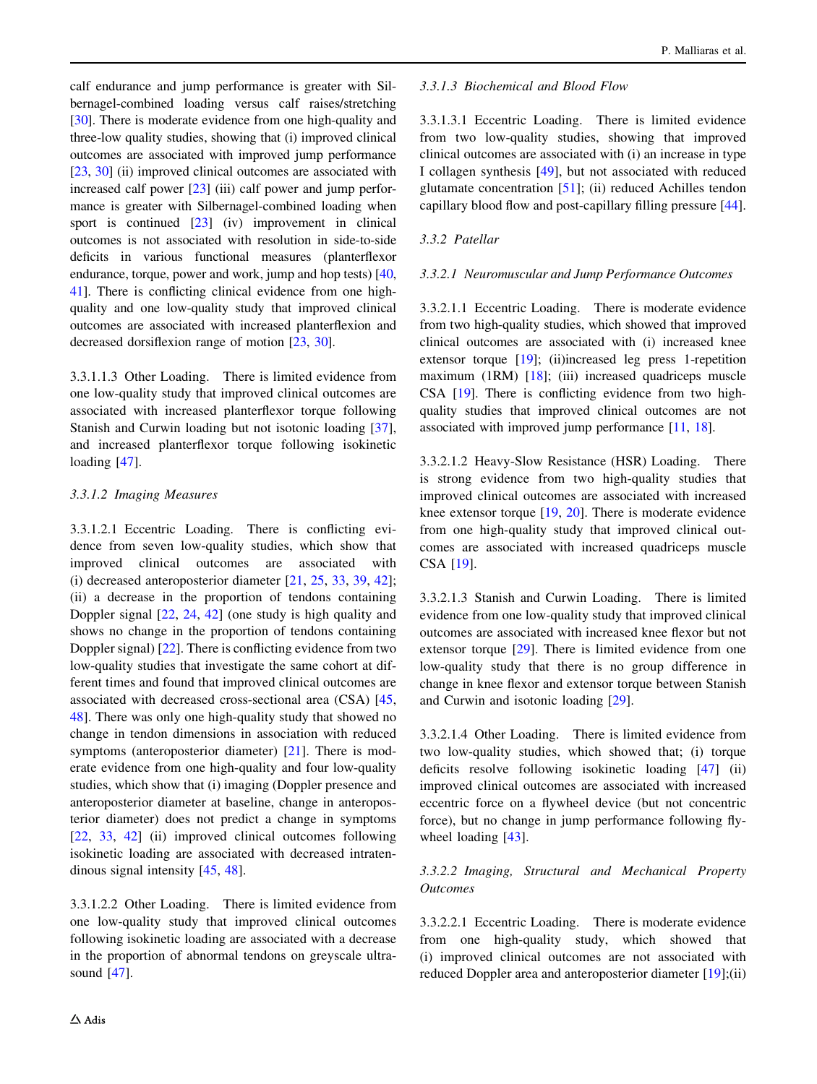calf endurance and jump performance is greater with Silbernagel-combined loading versus calf raises/stretching [\[30](#page-18-0)]. There is moderate evidence from one high-quality and three-low quality studies, showing that (i) improved clinical outcomes are associated with improved jump performance [\[23](#page-17-0), [30](#page-18-0)] (ii) improved clinical outcomes are associated with increased calf power [[23](#page-17-0)] (iii) calf power and jump performance is greater with Silbernagel-combined loading when sport is continued [\[23\]](#page-17-0) (iv) improvement in clinical outcomes is not associated with resolution in side-to-side deficits in various functional measures (planterflexor endurance, torque, power and work, jump and hop tests) [[40,](#page-18-0) [41\]](#page-18-0). There is conflicting clinical evidence from one highquality and one low-quality study that improved clinical outcomes are associated with increased planterflexion and decreased dorsiflexion range of motion [[23,](#page-17-0) [30](#page-18-0)].

3.3.1.1.3 Other Loading. There is limited evidence from one low-quality study that improved clinical outcomes are associated with increased planterflexor torque following Stanish and Curwin loading but not isotonic loading [\[37](#page-18-0)], and increased planterflexor torque following isokinetic loading [[47\]](#page-18-0).

# 3.3.1.2 Imaging Measures

3.3.1.2.1 Eccentric Loading. There is conflicting evidence from seven low-quality studies, which show that improved clinical outcomes are associated with (i) decreased anteroposterior diameter  $[21, 25, 33, 39, 42]$  $[21, 25, 33, 39, 42]$  $[21, 25, 33, 39, 42]$  $[21, 25, 33, 39, 42]$  $[21, 25, 33, 39, 42]$  $[21, 25, 33, 39, 42]$  $[21, 25, 33, 39, 42]$  $[21, 25, 33, 39, 42]$  $[21, 25, 33, 39, 42]$  $[21, 25, 33, 39, 42]$ ; (ii) a decrease in the proportion of tendons containing Doppler signal [[22,](#page-17-0) [24,](#page-17-0) [42](#page-18-0)] (one study is high quality and shows no change in the proportion of tendons containing Doppler signal) [\[22](#page-17-0)]. There is conflicting evidence from two low-quality studies that investigate the same cohort at different times and found that improved clinical outcomes are associated with decreased cross-sectional area (CSA) [[45,](#page-18-0) [48](#page-18-0)]. There was only one high-quality study that showed no change in tendon dimensions in association with reduced symptoms (anteroposterior diameter) [\[21\]](#page-17-0). There is moderate evidence from one high-quality and four low-quality studies, which show that (i) imaging (Doppler presence and anteroposterior diameter at baseline, change in anteroposterior diameter) does not predict a change in symptoms [\[22](#page-17-0), [33](#page-18-0), [42](#page-18-0)] (ii) improved clinical outcomes following isokinetic loading are associated with decreased intratendinous signal intensity [\[45](#page-18-0), [48\]](#page-18-0).

3.3.1.2.2 Other Loading. There is limited evidence from one low-quality study that improved clinical outcomes following isokinetic loading are associated with a decrease in the proportion of abnormal tendons on greyscale ultrasound [\[47](#page-18-0)].

## 3.3.1.3 Biochemical and Blood Flow

3.3.1.3.1 Eccentric Loading. There is limited evidence from two low-quality studies, showing that improved clinical outcomes are associated with (i) an increase in type I collagen synthesis [\[49](#page-18-0)], but not associated with reduced glutamate concentration [\[51](#page-18-0)]; (ii) reduced Achilles tendon capillary blood flow and post-capillary filling pressure [\[44](#page-18-0)].

# 3.3.2 Patellar

## 3.3.2.1 Neuromuscular and Jump Performance Outcomes

3.3.2.1.1 Eccentric Loading. There is moderate evidence from two high-quality studies, which showed that improved clinical outcomes are associated with (i) increased knee extensor torque [\[19\]](#page-17-0); (ii)increased leg press 1-repetition maximum (1RM) [\[18\]](#page-17-0); (iii) increased quadriceps muscle CSA [\[19](#page-17-0)]. There is conflicting evidence from two highquality studies that improved clinical outcomes are not associated with improved jump performance [[11,](#page-17-0) [18](#page-17-0)].

3.3.2.1.2 Heavy-Slow Resistance (HSR) Loading. There is strong evidence from two high-quality studies that improved clinical outcomes are associated with increased knee extensor torque [\[19](#page-17-0), [20\]](#page-17-0). There is moderate evidence from one high-quality study that improved clinical outcomes are associated with increased quadriceps muscle CSA [\[19](#page-17-0)].

3.3.2.1.3 Stanish and Curwin Loading. There is limited evidence from one low-quality study that improved clinical outcomes are associated with increased knee flexor but not extensor torque [[29\]](#page-18-0). There is limited evidence from one low-quality study that there is no group difference in change in knee flexor and extensor torque between Stanish and Curwin and isotonic loading [[29\]](#page-18-0).

3.3.2.1.4 Other Loading. There is limited evidence from two low-quality studies, which showed that; (i) torque deficits resolve following isokinetic loading [\[47](#page-18-0)] (ii) improved clinical outcomes are associated with increased eccentric force on a flywheel device (but not concentric force), but no change in jump performance following fly-wheel loading [\[43](#page-18-0)].

# 3.3.2.2 Imaging, Structural and Mechanical Property Outcomes

3.3.2.2.1 Eccentric Loading. There is moderate evidence from one high-quality study, which showed that (i) improved clinical outcomes are not associated with reduced Doppler area and anteroposterior diameter [[19\]](#page-17-0);(ii)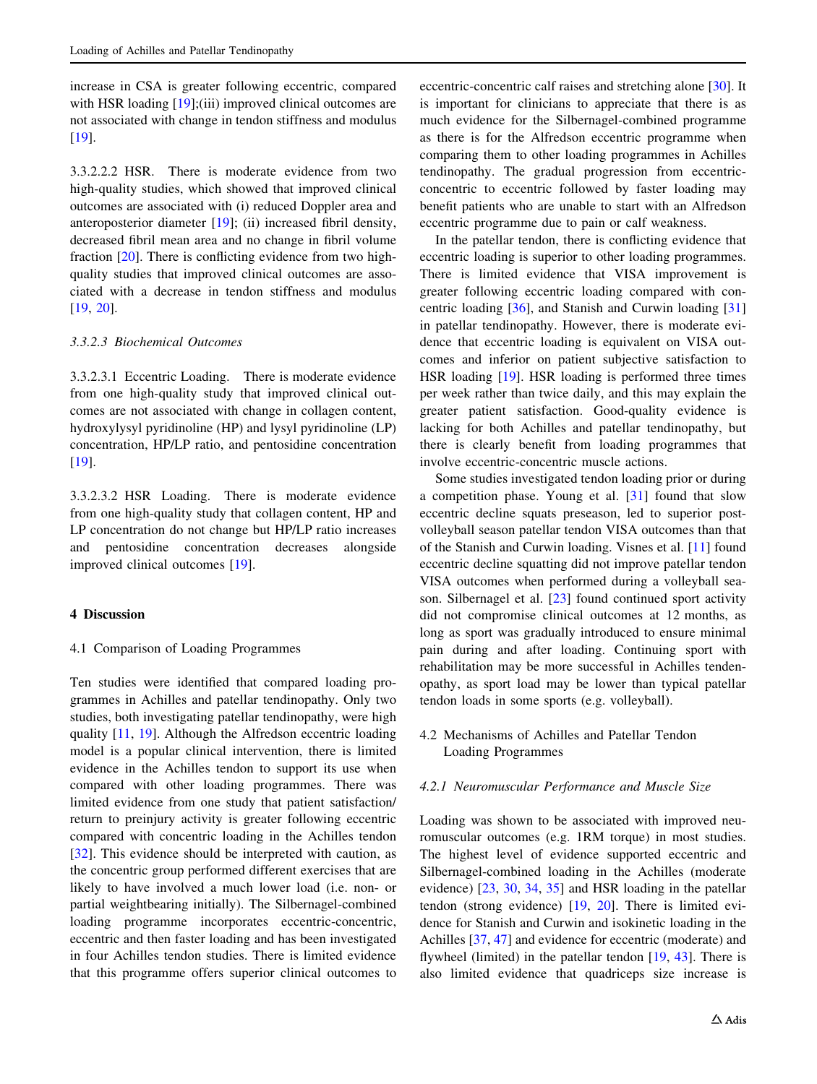<span id="page-12-0"></span>increase in CSA is greater following eccentric, compared with HSR loading [\[19](#page-17-0)];(iii) improved clinical outcomes are not associated with change in tendon stiffness and modulus [\[19](#page-17-0)].

3.3.2.2.2 HSR. There is moderate evidence from two high-quality studies, which showed that improved clinical outcomes are associated with (i) reduced Doppler area and anteroposterior diameter [\[19](#page-17-0)]; (ii) increased fibril density, decreased fibril mean area and no change in fibril volume fraction [\[20](#page-17-0)]. There is conflicting evidence from two highquality studies that improved clinical outcomes are associated with a decrease in tendon stiffness and modulus [\[19](#page-17-0), [20](#page-17-0)].

# 3.3.2.3 Biochemical Outcomes

3.3.2.3.1 Eccentric Loading. There is moderate evidence from one high-quality study that improved clinical outcomes are not associated with change in collagen content, hydroxylysyl pyridinoline (HP) and lysyl pyridinoline (LP) concentration, HP/LP ratio, and pentosidine concentration [\[19](#page-17-0)].

3.3.2.3.2 HSR Loading. There is moderate evidence from one high-quality study that collagen content, HP and LP concentration do not change but HP/LP ratio increases and pentosidine concentration decreases alongside improved clinical outcomes [[19\]](#page-17-0).

# 4 Discussion

### 4.1 Comparison of Loading Programmes

Ten studies were identified that compared loading programmes in Achilles and patellar tendinopathy. Only two studies, both investigating patellar tendinopathy, were high quality [\[11](#page-17-0), [19](#page-17-0)]. Although the Alfredson eccentric loading model is a popular clinical intervention, there is limited evidence in the Achilles tendon to support its use when compared with other loading programmes. There was limited evidence from one study that patient satisfaction/ return to preinjury activity is greater following eccentric compared with concentric loading in the Achilles tendon [\[32](#page-18-0)]. This evidence should be interpreted with caution, as the concentric group performed different exercises that are likely to have involved a much lower load (i.e. non- or partial weightbearing initially). The Silbernagel-combined loading programme incorporates eccentric-concentric, eccentric and then faster loading and has been investigated in four Achilles tendon studies. There is limited evidence that this programme offers superior clinical outcomes to eccentric-concentric calf raises and stretching alone [[30\]](#page-18-0). It is important for clinicians to appreciate that there is as much evidence for the Silbernagel-combined programme as there is for the Alfredson eccentric programme when comparing them to other loading programmes in Achilles tendinopathy. The gradual progression from eccentricconcentric to eccentric followed by faster loading may benefit patients who are unable to start with an Alfredson eccentric programme due to pain or calf weakness.

In the patellar tendon, there is conflicting evidence that eccentric loading is superior to other loading programmes. There is limited evidence that VISA improvement is greater following eccentric loading compared with concentric loading [\[36\]](#page-18-0), and Stanish and Curwin loading [[31\]](#page-18-0) in patellar tendinopathy. However, there is moderate evidence that eccentric loading is equivalent on VISA outcomes and inferior on patient subjective satisfaction to HSR loading [\[19](#page-17-0)]. HSR loading is performed three times per week rather than twice daily, and this may explain the greater patient satisfaction. Good-quality evidence is lacking for both Achilles and patellar tendinopathy, but there is clearly benefit from loading programmes that involve eccentric-concentric muscle actions.

Some studies investigated tendon loading prior or during a competition phase. Young et al. [[31\]](#page-18-0) found that slow eccentric decline squats preseason, led to superior postvolleyball season patellar tendon VISA outcomes than that of the Stanish and Curwin loading. Visnes et al. [[11\]](#page-17-0) found eccentric decline squatting did not improve patellar tendon VISA outcomes when performed during a volleyball season. Silbernagel et al. [\[23](#page-17-0)] found continued sport activity did not compromise clinical outcomes at 12 months, as long as sport was gradually introduced to ensure minimal pain during and after loading. Continuing sport with rehabilitation may be more successful in Achilles tendenopathy, as sport load may be lower than typical patellar tendon loads in some sports (e.g. volleyball).

# 4.2 Mechanisms of Achilles and Patellar Tendon Loading Programmes

# 4.2.1 Neuromuscular Performance and Muscle Size

Loading was shown to be associated with improved neuromuscular outcomes (e.g. 1RM torque) in most studies. The highest level of evidence supported eccentric and Silbernagel-combined loading in the Achilles (moderate evidence) [[23,](#page-17-0) [30](#page-18-0), [34,](#page-18-0) [35](#page-18-0)] and HSR loading in the patellar tendon (strong evidence) [\[19](#page-17-0), [20](#page-17-0)]. There is limited evidence for Stanish and Curwin and isokinetic loading in the Achilles [\[37](#page-18-0), [47](#page-18-0)] and evidence for eccentric (moderate) and flywheel (limited) in the patellar tendon [\[19](#page-17-0), [43\]](#page-18-0). There is also limited evidence that quadriceps size increase is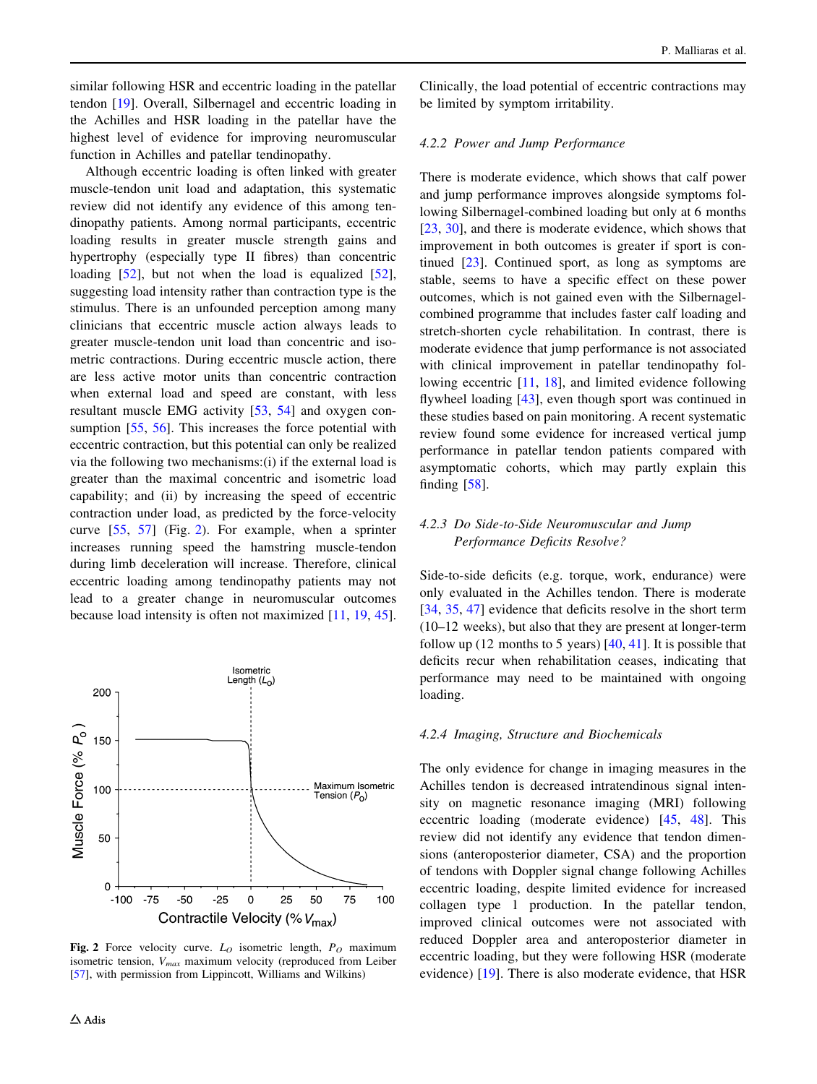similar following HSR and eccentric loading in the patellar tendon [\[19](#page-17-0)]. Overall, Silbernagel and eccentric loading in the Achilles and HSR loading in the patellar have the highest level of evidence for improving neuromuscular function in Achilles and patellar tendinopathy.

Although eccentric loading is often linked with greater muscle-tendon unit load and adaptation, this systematic review did not identify any evidence of this among tendinopathy patients. Among normal participants, eccentric loading results in greater muscle strength gains and hypertrophy (especially type II fibres) than concentric loading [[52\]](#page-18-0), but not when the load is equalized [\[52](#page-18-0)], suggesting load intensity rather than contraction type is the stimulus. There is an unfounded perception among many clinicians that eccentric muscle action always leads to greater muscle-tendon unit load than concentric and isometric contractions. During eccentric muscle action, there are less active motor units than concentric contraction when external load and speed are constant, with less resultant muscle EMG activity [[53,](#page-18-0) [54](#page-18-0)] and oxygen con-sumption [\[55](#page-18-0), [56](#page-18-0)]. This increases the force potential with eccentric contraction, but this potential can only be realized via the following two mechanisms:(i) if the external load is greater than the maximal concentric and isometric load capability; and (ii) by increasing the speed of eccentric contraction under load, as predicted by the force-velocity curve [\[55](#page-18-0), [57\]](#page-18-0) (Fig. 2). For example, when a sprinter increases running speed the hamstring muscle-tendon during limb deceleration will increase. Therefore, clinical eccentric loading among tendinopathy patients may not lead to a greater change in neuromuscular outcomes because load intensity is often not maximized [[11,](#page-17-0) [19,](#page-17-0) [45](#page-18-0)].



Fig. 2 Force velocity curve.  $L_0$  isometric length,  $P_0$  maximum isometric tension,  $V_{max}$  maximum velocity (reproduced from Leiber [[57](#page-18-0)], with permission from Lippincott, Williams and Wilkins)

Clinically, the load potential of eccentric contractions may be limited by symptom irritability.

#### 4.2.2 Power and Jump Performance

There is moderate evidence, which shows that calf power and jump performance improves alongside symptoms following Silbernagel-combined loading but only at 6 months [\[23](#page-17-0), [30\]](#page-18-0), and there is moderate evidence, which shows that improvement in both outcomes is greater if sport is continued [[23\]](#page-17-0). Continued sport, as long as symptoms are stable, seems to have a specific effect on these power outcomes, which is not gained even with the Silbernagelcombined programme that includes faster calf loading and stretch-shorten cycle rehabilitation. In contrast, there is moderate evidence that jump performance is not associated with clinical improvement in patellar tendinopathy following eccentric [[11,](#page-17-0) [18\]](#page-17-0), and limited evidence following flywheel loading [\[43](#page-18-0)], even though sport was continued in these studies based on pain monitoring. A recent systematic review found some evidence for increased vertical jump performance in patellar tendon patients compared with asymptomatic cohorts, which may partly explain this finding [\[58](#page-18-0)].

# 4.2.3 Do Side-to-Side Neuromuscular and Jump Performance Deficits Resolve?

Side-to-side deficits (e.g. torque, work, endurance) were only evaluated in the Achilles tendon. There is moderate [\[34](#page-18-0), [35,](#page-18-0) [47](#page-18-0)] evidence that deficits resolve in the short term (10–12 weeks), but also that they are present at longer-term follow up (12 months to 5 years)  $[40, 41]$  $[40, 41]$  $[40, 41]$  $[40, 41]$ . It is possible that deficits recur when rehabilitation ceases, indicating that performance may need to be maintained with ongoing loading.

#### 4.2.4 Imaging, Structure and Biochemicals

The only evidence for change in imaging measures in the Achilles tendon is decreased intratendinous signal intensity on magnetic resonance imaging (MRI) following eccentric loading (moderate evidence) [[45,](#page-18-0) [48\]](#page-18-0). This review did not identify any evidence that tendon dimensions (anteroposterior diameter, CSA) and the proportion of tendons with Doppler signal change following Achilles eccentric loading, despite limited evidence for increased collagen type 1 production. In the patellar tendon, improved clinical outcomes were not associated with reduced Doppler area and anteroposterior diameter in eccentric loading, but they were following HSR (moderate evidence) [\[19](#page-17-0)]. There is also moderate evidence, that HSR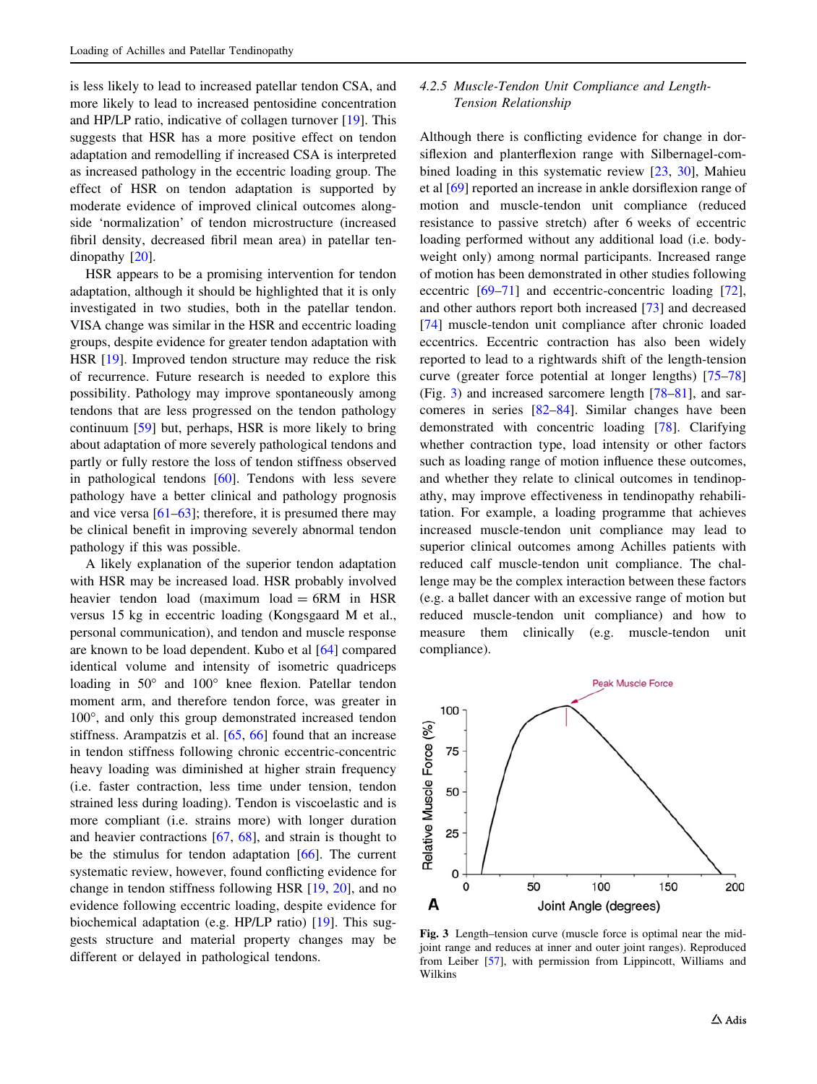is less likely to lead to increased patellar tendon CSA, and more likely to lead to increased pentosidine concentration and HP/LP ratio, indicative of collagen turnover [[19\]](#page-17-0). This suggests that HSR has a more positive effect on tendon adaptation and remodelling if increased CSA is interpreted as increased pathology in the eccentric loading group. The effect of HSR on tendon adaptation is supported by moderate evidence of improved clinical outcomes alongside 'normalization' of tendon microstructure (increased fibril density, decreased fibril mean area) in patellar tendinopathy [\[20](#page-17-0)].

HSR appears to be a promising intervention for tendon adaptation, although it should be highlighted that it is only investigated in two studies, both in the patellar tendon. VISA change was similar in the HSR and eccentric loading groups, despite evidence for greater tendon adaptation with HSR [\[19](#page-17-0)]. Improved tendon structure may reduce the risk of recurrence. Future research is needed to explore this possibility. Pathology may improve spontaneously among tendons that are less progressed on the tendon pathology continuum [[59\]](#page-18-0) but, perhaps, HSR is more likely to bring about adaptation of more severely pathological tendons and partly or fully restore the loss of tendon stiffness observed in pathological tendons [[60\]](#page-18-0). Tendons with less severe pathology have a better clinical and pathology prognosis and vice versa [[61–63\]](#page-18-0); therefore, it is presumed there may be clinical benefit in improving severely abnormal tendon pathology if this was possible.

A likely explanation of the superior tendon adaptation with HSR may be increased load. HSR probably involved heavier tendon load (maximum load  $= 6RM$  in HSR versus 15 kg in eccentric loading (Kongsgaard M et al., personal communication), and tendon and muscle response are known to be load dependent. Kubo et al [[64\]](#page-18-0) compared identical volume and intensity of isometric quadriceps loading in 50° and 100° knee flexion. Patellar tendon moment arm, and therefore tendon force, was greater in 100", and only this group demonstrated increased tendon stiffness. Arampatzis et al. [\[65](#page-18-0), [66](#page-19-0)] found that an increase in tendon stiffness following chronic eccentric-concentric heavy loading was diminished at higher strain frequency (i.e. faster contraction, less time under tension, tendon strained less during loading). Tendon is viscoelastic and is more compliant (i.e. strains more) with longer duration and heavier contractions [[67,](#page-19-0) [68\]](#page-19-0), and strain is thought to be the stimulus for tendon adaptation [[66\]](#page-19-0). The current systematic review, however, found conflicting evidence for change in tendon stiffness following HSR [\[19](#page-17-0), [20\]](#page-17-0), and no evidence following eccentric loading, despite evidence for biochemical adaptation (e.g. HP/LP ratio) [[19\]](#page-17-0). This suggests structure and material property changes may be different or delayed in pathological tendons.

# 4.2.5 Muscle-Tendon Unit Compliance and Length-Tension Relationship

Although there is conflicting evidence for change in dorsiflexion and planterflexion range with Silbernagel-combined loading in this systematic review [\[23](#page-17-0), [30\]](#page-18-0), Mahieu et al [[69\]](#page-19-0) reported an increase in ankle dorsiflexion range of motion and muscle-tendon unit compliance (reduced resistance to passive stretch) after 6 weeks of eccentric loading performed without any additional load (i.e. bodyweight only) among normal participants. Increased range of motion has been demonstrated in other studies following eccentric [[69–71\]](#page-19-0) and eccentric-concentric loading [\[72](#page-19-0)], and other authors report both increased [\[73](#page-19-0)] and decreased [\[74](#page-19-0)] muscle-tendon unit compliance after chronic loaded eccentrics. Eccentric contraction has also been widely reported to lead to a rightwards shift of the length-tension curve (greater force potential at longer lengths) [[75–78\]](#page-19-0) (Fig. 3) and increased sarcomere length [[78–81\]](#page-19-0), and sarcomeres in series [[82–84\]](#page-19-0). Similar changes have been demonstrated with concentric loading [\[78](#page-19-0)]. Clarifying whether contraction type, load intensity or other factors such as loading range of motion influence these outcomes, and whether they relate to clinical outcomes in tendinopathy, may improve effectiveness in tendinopathy rehabilitation. For example, a loading programme that achieves increased muscle-tendon unit compliance may lead to superior clinical outcomes among Achilles patients with reduced calf muscle-tendon unit compliance. The challenge may be the complex interaction between these factors (e.g. a ballet dancer with an excessive range of motion but reduced muscle-tendon unit compliance) and how to measure them clinically (e.g. muscle-tendon unit compliance).



Fig. 3 Length–tension curve (muscle force is optimal near the midjoint range and reduces at inner and outer joint ranges). Reproduced from Leiber [\[57](#page-18-0)], with permission from Lippincott, Williams and Wilkins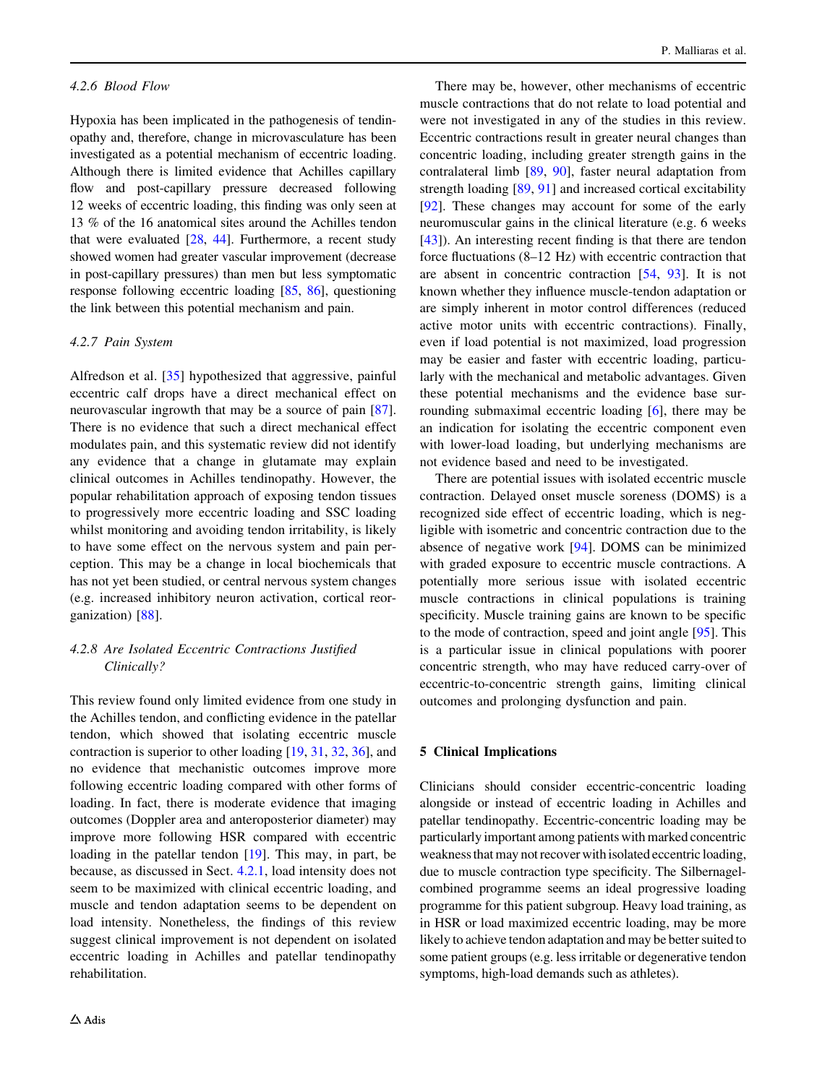# 4.2.6 Blood Flow

Hypoxia has been implicated in the pathogenesis of tendinopathy and, therefore, change in microvasculature has been investigated as a potential mechanism of eccentric loading. Although there is limited evidence that Achilles capillary flow and post-capillary pressure decreased following 12 weeks of eccentric loading, this finding was only seen at 13 % of the 16 anatomical sites around the Achilles tendon that were evaluated [[28,](#page-17-0) [44](#page-18-0)]. Furthermore, a recent study showed women had greater vascular improvement (decrease in post-capillary pressures) than men but less symptomatic response following eccentric loading [[85](#page-19-0), [86\]](#page-19-0), questioning the link between this potential mechanism and pain.

# 4.2.7 Pain System

Alfredson et al. [\[35](#page-18-0)] hypothesized that aggressive, painful eccentric calf drops have a direct mechanical effect on neurovascular ingrowth that may be a source of pain [\[87](#page-19-0)]. There is no evidence that such a direct mechanical effect modulates pain, and this systematic review did not identify any evidence that a change in glutamate may explain clinical outcomes in Achilles tendinopathy. However, the popular rehabilitation approach of exposing tendon tissues to progressively more eccentric loading and SSC loading whilst monitoring and avoiding tendon irritability, is likely to have some effect on the nervous system and pain perception. This may be a change in local biochemicals that has not yet been studied, or central nervous system changes (e.g. increased inhibitory neuron activation, cortical reorganization) [[88\]](#page-19-0).

# 4.2.8 Are Isolated Eccentric Contractions Justified Clinically?

This review found only limited evidence from one study in the Achilles tendon, and conflicting evidence in the patellar tendon, which showed that isolating eccentric muscle contraction is superior to other loading [[19,](#page-17-0) [31,](#page-18-0) [32,](#page-18-0) [36](#page-18-0)], and no evidence that mechanistic outcomes improve more following eccentric loading compared with other forms of loading. In fact, there is moderate evidence that imaging outcomes (Doppler area and anteroposterior diameter) may improve more following HSR compared with eccentric loading in the patellar tendon [\[19](#page-17-0)]. This may, in part, be because, as discussed in Sect. [4.2.1,](#page-12-0) load intensity does not seem to be maximized with clinical eccentric loading, and muscle and tendon adaptation seems to be dependent on load intensity. Nonetheless, the findings of this review suggest clinical improvement is not dependent on isolated eccentric loading in Achilles and patellar tendinopathy rehabilitation.

There may be, however, other mechanisms of eccentric muscle contractions that do not relate to load potential and were not investigated in any of the studies in this review. Eccentric contractions result in greater neural changes than concentric loading, including greater strength gains in the contralateral limb [\[89](#page-19-0), [90](#page-19-0)], faster neural adaptation from strength loading [\[89](#page-19-0), [91](#page-19-0)] and increased cortical excitability [\[92](#page-19-0)]. These changes may account for some of the early neuromuscular gains in the clinical literature (e.g. 6 weeks [\[43](#page-18-0)]). An interesting recent finding is that there are tendon force fluctuations (8–12 Hz) with eccentric contraction that are absent in concentric contraction [[54,](#page-18-0) [93\]](#page-19-0). It is not known whether they influence muscle-tendon adaptation or are simply inherent in motor control differences (reduced active motor units with eccentric contractions). Finally, even if load potential is not maximized, load progression may be easier and faster with eccentric loading, particularly with the mechanical and metabolic advantages. Given these potential mechanisms and the evidence base surrounding submaximal eccentric loading [[6\]](#page-17-0), there may be an indication for isolating the eccentric component even with lower-load loading, but underlying mechanisms are not evidence based and need to be investigated.

There are potential issues with isolated eccentric muscle contraction. Delayed onset muscle soreness (DOMS) is a recognized side effect of eccentric loading, which is negligible with isometric and concentric contraction due to the absence of negative work [[94\]](#page-19-0). DOMS can be minimized with graded exposure to eccentric muscle contractions. A potentially more serious issue with isolated eccentric muscle contractions in clinical populations is training specificity. Muscle training gains are known to be specific to the mode of contraction, speed and joint angle [\[95](#page-19-0)]. This is a particular issue in clinical populations with poorer concentric strength, who may have reduced carry-over of eccentric-to-concentric strength gains, limiting clinical outcomes and prolonging dysfunction and pain.

## 5 Clinical Implications

Clinicians should consider eccentric-concentric loading alongside or instead of eccentric loading in Achilles and patellar tendinopathy. Eccentric-concentric loading may be particularly important among patients with marked concentric weakness that may not recover with isolated eccentric loading, due to muscle contraction type specificity. The Silbernagelcombined programme seems an ideal progressive loading programme for this patient subgroup. Heavy load training, as in HSR or load maximized eccentric loading, may be more likely to achieve tendon adaptation and may be better suited to some patient groups (e.g. less irritable or degenerative tendon symptoms, high-load demands such as athletes).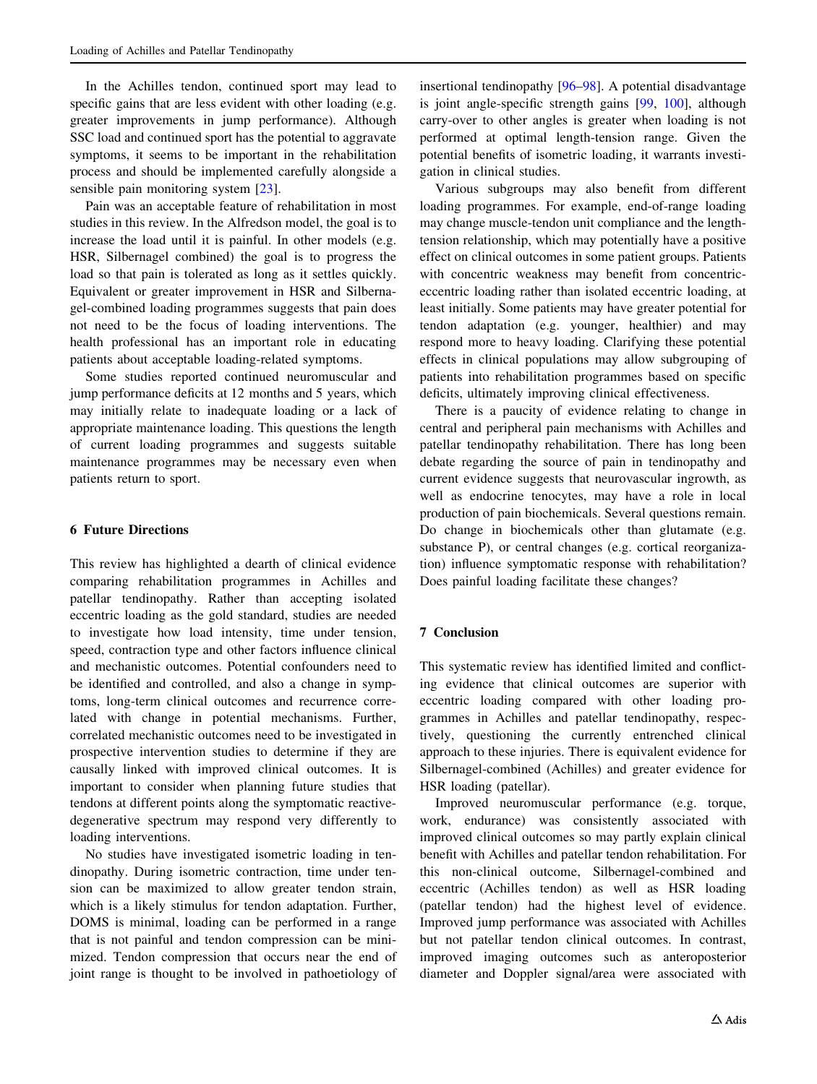In the Achilles tendon, continued sport may lead to specific gains that are less evident with other loading (e.g. greater improvements in jump performance). Although SSC load and continued sport has the potential to aggravate symptoms, it seems to be important in the rehabilitation process and should be implemented carefully alongside a sensible pain monitoring system [\[23](#page-17-0)].

Pain was an acceptable feature of rehabilitation in most studies in this review. In the Alfredson model, the goal is to increase the load until it is painful. In other models (e.g. HSR, Silbernagel combined) the goal is to progress the load so that pain is tolerated as long as it settles quickly. Equivalent or greater improvement in HSR and Silbernagel-combined loading programmes suggests that pain does not need to be the focus of loading interventions. The health professional has an important role in educating patients about acceptable loading-related symptoms.

Some studies reported continued neuromuscular and jump performance deficits at 12 months and 5 years, which may initially relate to inadequate loading or a lack of appropriate maintenance loading. This questions the length of current loading programmes and suggests suitable maintenance programmes may be necessary even when patients return to sport.

# 6 Future Directions

This review has highlighted a dearth of clinical evidence comparing rehabilitation programmes in Achilles and patellar tendinopathy. Rather than accepting isolated eccentric loading as the gold standard, studies are needed to investigate how load intensity, time under tension, speed, contraction type and other factors influence clinical and mechanistic outcomes. Potential confounders need to be identified and controlled, and also a change in symptoms, long-term clinical outcomes and recurrence correlated with change in potential mechanisms. Further, correlated mechanistic outcomes need to be investigated in prospective intervention studies to determine if they are causally linked with improved clinical outcomes. It is important to consider when planning future studies that tendons at different points along the symptomatic reactivedegenerative spectrum may respond very differently to loading interventions.

No studies have investigated isometric loading in tendinopathy. During isometric contraction, time under tension can be maximized to allow greater tendon strain, which is a likely stimulus for tendon adaptation. Further, DOMS is minimal, loading can be performed in a range that is not painful and tendon compression can be minimized. Tendon compression that occurs near the end of joint range is thought to be involved in pathoetiology of insertional tendinopathy [[96–98\]](#page-19-0). A potential disadvantage is joint angle-specific strength gains [[99,](#page-19-0) [100\]](#page-19-0), although carry-over to other angles is greater when loading is not performed at optimal length-tension range. Given the potential benefits of isometric loading, it warrants investigation in clinical studies.

Various subgroups may also benefit from different loading programmes. For example, end-of-range loading may change muscle-tendon unit compliance and the lengthtension relationship, which may potentially have a positive effect on clinical outcomes in some patient groups. Patients with concentric weakness may benefit from concentriceccentric loading rather than isolated eccentric loading, at least initially. Some patients may have greater potential for tendon adaptation (e.g. younger, healthier) and may respond more to heavy loading. Clarifying these potential effects in clinical populations may allow subgrouping of patients into rehabilitation programmes based on specific deficits, ultimately improving clinical effectiveness.

There is a paucity of evidence relating to change in central and peripheral pain mechanisms with Achilles and patellar tendinopathy rehabilitation. There has long been debate regarding the source of pain in tendinopathy and current evidence suggests that neurovascular ingrowth, as well as endocrine tenocytes, may have a role in local production of pain biochemicals. Several questions remain. Do change in biochemicals other than glutamate (e.g. substance P), or central changes (e.g. cortical reorganization) influence symptomatic response with rehabilitation? Does painful loading facilitate these changes?

# 7 Conclusion

This systematic review has identified limited and conflicting evidence that clinical outcomes are superior with eccentric loading compared with other loading programmes in Achilles and patellar tendinopathy, respectively, questioning the currently entrenched clinical approach to these injuries. There is equivalent evidence for Silbernagel-combined (Achilles) and greater evidence for HSR loading (patellar).

Improved neuromuscular performance (e.g. torque, work, endurance) was consistently associated with improved clinical outcomes so may partly explain clinical benefit with Achilles and patellar tendon rehabilitation. For this non-clinical outcome, Silbernagel-combined and eccentric (Achilles tendon) as well as HSR loading (patellar tendon) had the highest level of evidence. Improved jump performance was associated with Achilles but not patellar tendon clinical outcomes. In contrast, improved imaging outcomes such as anteroposterior diameter and Doppler signal/area were associated with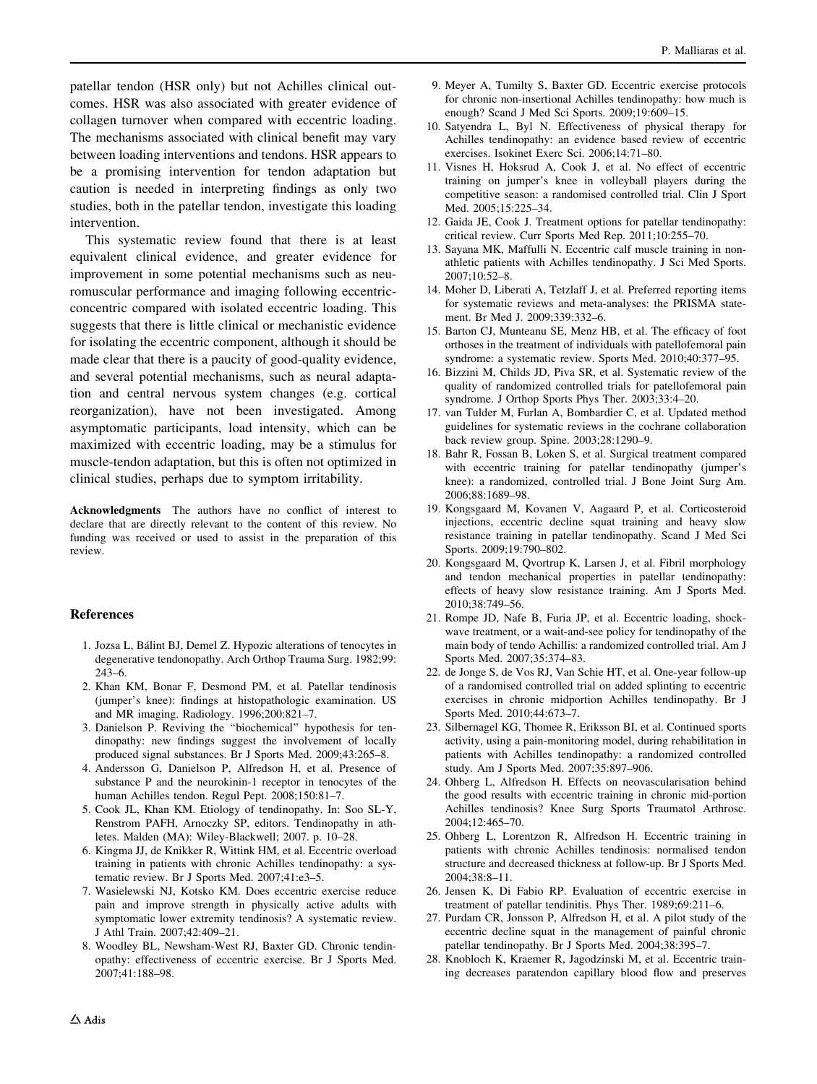<span id="page-17-0"></span>patellar tendon (HSR only) but not Achilles clinical outcomes. HSR was also associated with greater evidence of collagen turnover when compared with eccentric loading. The mechanisms associated with clinical benefit may vary between loading interventions and tendons. HSR appears to be a promising intervention for tendon adaptation but caution is needed in interpreting findings as only two studies, both in the patellar tendon, investigate this loading intervention.

This systematic review found that there is at least equivalent clinical evidence, and greater evidence for improvement in some potential mechanisms such as neuromuscular performance and imaging following eccentricconcentric compared with isolated eccentric loading. This suggests that there is little clinical or mechanistic evidence for isolating the eccentric component, although it should be made clear that there is a paucity of good-quality evidence, and several potential mechanisms, such as neural adaptation and central nervous system changes (e.g. cortical reorganization), have not been investigated. Among asymptomatic participants, load intensity, which can be maximized with eccentric loading, may be a stimulus for muscle-tendon adaptation, but this is often not optimized in clinical studies, perhaps due to symptom irritability.

Acknowledgments The authors have no conflict of interest to declare that are directly relevant to the content of this review. No funding was received or used to assist in the preparation of this review.

#### **References**

- 1. Jozsa L, Ba´lint BJ, Demel Z. Hypozic alterations of tenocytes in degenerative tendonopathy. Arch Orthop Trauma Surg. 1982;99: 243–6.
- 2. Khan KM, Bonar F, Desmond PM, et al. Patellar tendinosis (jumper's knee): findings at histopathologic examination. US and MR imaging. Radiology. 1996;200:821–7.
- 3. Danielson P. Reviving the ''biochemical'' hypothesis for tendinopathy: new findings suggest the involvement of locally produced signal substances. Br J Sports Med. 2009;43:265–8.
- 4. Andersson G, Danielson P, Alfredson H, et al. Presence of substance P and the neurokinin-1 receptor in tenocytes of the human Achilles tendon. Regul Pept. 2008;150:81–7.
- 5. Cook JL, Khan KM. Etiology of tendinopathy. In: Soo SL-Y, Renstrom PAFH, Arnoczky SP, editors. Tendinopathy in athletes. Malden (MA): Wiley-Blackwell; 2007. p. 10–28.
- 6. Kingma JJ, de Knikker R, Wittink HM, et al. Eccentric overload training in patients with chronic Achilles tendinopathy: a systematic review. Br J Sports Med. 2007;41:e3–5.
- 7. Wasielewski NJ, Kotsko KM. Does eccentric exercise reduce pain and improve strength in physically active adults with symptomatic lower extremity tendinosis? A systematic review. J Athl Train. 2007;42:409–21.
- 8. Woodley BL, Newsham-West RJ, Baxter GD. Chronic tendinopathy: effectiveness of eccentric exercise. Br J Sports Med. 2007;41:188–98.
- 9. Meyer A, Tumilty S, Baxter GD. Eccentric exercise protocols for chronic non-insertional Achilles tendinopathy: how much is enough? Scand J Med Sci Sports. 2009;19:609–15.
- 10. Satyendra L, Byl N. Effectiveness of physical therapy for Achilles tendinopathy: an evidence based review of eccentric exercises. Isokinet Exerc Sci. 2006;14:71–80.
- 11. Visnes H, Hoksrud A, Cook J, et al. No effect of eccentric training on jumper's knee in volleyball players during the competitive season: a randomised controlled trial. Clin J Sport Med. 2005;15:225–34.
- 12. Gaida JE, Cook J. Treatment options for patellar tendinopathy: critical review. Curr Sports Med Rep. 2011;10:255–70.
- 13. Sayana MK, Maffulli N. Eccentric calf muscle training in nonathletic patients with Achilles tendinopathy. J Sci Med Sports. 2007;10:52–8.
- 14. Moher D, Liberati A, Tetzlaff J, et al. Preferred reporting items for systematic reviews and meta-analyses: the PRISMA statement. Br Med J. 2009;339:332–6.
- 15. Barton CJ, Munteanu SE, Menz HB, et al. The efficacy of foot orthoses in the treatment of individuals with patellofemoral pain syndrome: a systematic review. Sports Med. 2010;40:377–95.
- 16. Bizzini M, Childs JD, Piva SR, et al. Systematic review of the quality of randomized controlled trials for patellofemoral pain syndrome. J Orthop Sports Phys Ther. 2003;33:4–20.
- 17. van Tulder M, Furlan A, Bombardier C, et al. Updated method guidelines for systematic reviews in the cochrane collaboration back review group. Spine. 2003;28:1290–9.
- 18. Bahr R, Fossan B, Loken S, et al. Surgical treatment compared with eccentric training for patellar tendinopathy (jumper's knee): a randomized, controlled trial. J Bone Joint Surg Am. 2006;88:1689–98.
- 19. Kongsgaard M, Kovanen V, Aagaard P, et al. Corticosteroid injections, eccentric decline squat training and heavy slow resistance training in patellar tendinopathy. Scand J Med Sci Sports. 2009;19:790–802.
- 20. Kongsgaard M, Qvortrup K, Larsen J, et al. Fibril morphology and tendon mechanical properties in patellar tendinopathy: effects of heavy slow resistance training. Am J Sports Med. 2010;38:749–56.
- 21. Rompe JD, Nafe B, Furia JP, et al. Eccentric loading, shockwave treatment, or a wait-and-see policy for tendinopathy of the main body of tendo Achillis: a randomized controlled trial. Am J Sports Med. 2007;35:374–83.
- 22. de Jonge S, de Vos RJ, Van Schie HT, et al. One-year follow-up of a randomised controlled trial on added splinting to eccentric exercises in chronic midportion Achilles tendinopathy. Br J Sports Med. 2010;44:673–7.
- 23. Silbernagel KG, Thomee R, Eriksson BI, et al. Continued sports activity, using a pain-monitoring model, during rehabilitation in patients with Achilles tendinopathy: a randomized controlled study. Am J Sports Med. 2007;35:897–906.
- 24. Ohberg L, Alfredson H. Effects on neovascularisation behind the good results with eccentric training in chronic mid-portion Achilles tendinosis? Knee Surg Sports Traumatol Arthrosc. 2004;12:465–70.
- 25. Ohberg L, Lorentzon R, Alfredson H. Eccentric training in patients with chronic Achilles tendinosis: normalised tendon structure and decreased thickness at follow-up. Br J Sports Med. 2004;38:8–11.
- 26. Jensen K, Di Fabio RP. Evaluation of eccentric exercise in treatment of patellar tendinitis. Phys Ther. 1989;69:211–6.
- 27. Purdam CR, Jonsson P, Alfredson H, et al. A pilot study of the eccentric decline squat in the management of painful chronic patellar tendinopathy. Br J Sports Med. 2004;38:395–7.
- 28. Knobloch K, Kraemer R, Jagodzinski M, et al. Eccentric training decreases paratendon capillary blood flow and preserves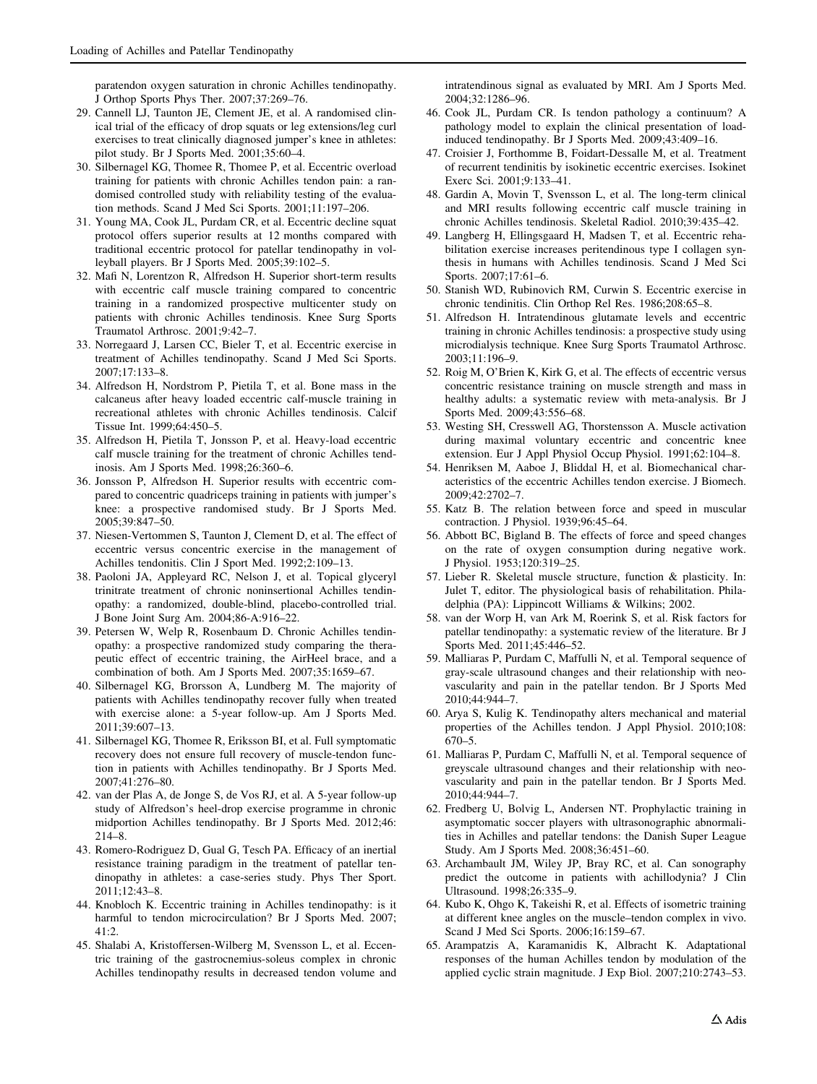<span id="page-18-0"></span>paratendon oxygen saturation in chronic Achilles tendinopathy. J Orthop Sports Phys Ther. 2007;37:269–76.

- 29. Cannell LJ, Taunton JE, Clement JE, et al. A randomised clinical trial of the efficacy of drop squats or leg extensions/leg curl exercises to treat clinically diagnosed jumper's knee in athletes: pilot study. Br J Sports Med. 2001;35:60–4.
- 30. Silbernagel KG, Thomee R, Thomee P, et al. Eccentric overload training for patients with chronic Achilles tendon pain: a randomised controlled study with reliability testing of the evaluation methods. Scand J Med Sci Sports. 2001;11:197–206.
- 31. Young MA, Cook JL, Purdam CR, et al. Eccentric decline squat protocol offers superior results at 12 months compared with traditional eccentric protocol for patellar tendinopathy in volleyball players. Br J Sports Med. 2005;39:102–5.
- 32. Mafi N, Lorentzon R, Alfredson H. Superior short-term results with eccentric calf muscle training compared to concentric training in a randomized prospective multicenter study on patients with chronic Achilles tendinosis. Knee Surg Sports Traumatol Arthrosc. 2001;9:42–7.
- 33. Norregaard J, Larsen CC, Bieler T, et al. Eccentric exercise in treatment of Achilles tendinopathy. Scand J Med Sci Sports. 2007;17:133–8.
- 34. Alfredson H, Nordstrom P, Pietila T, et al. Bone mass in the calcaneus after heavy loaded eccentric calf-muscle training in recreational athletes with chronic Achilles tendinosis. Calcif Tissue Int. 1999;64:450–5.
- 35. Alfredson H, Pietila T, Jonsson P, et al. Heavy-load eccentric calf muscle training for the treatment of chronic Achilles tendinosis. Am J Sports Med. 1998;26:360–6.
- 36. Jonsson P, Alfredson H. Superior results with eccentric compared to concentric quadriceps training in patients with jumper's knee: a prospective randomised study. Br J Sports Med. 2005;39:847–50.
- 37. Niesen-Vertommen S, Taunton J, Clement D, et al. The effect of eccentric versus concentric exercise in the management of Achilles tendonitis. Clin J Sport Med. 1992;2:109–13.
- 38. Paoloni JA, Appleyard RC, Nelson J, et al. Topical glyceryl trinitrate treatment of chronic noninsertional Achilles tendinopathy: a randomized, double-blind, placebo-controlled trial. J Bone Joint Surg Am. 2004;86-A:916–22.
- 39. Petersen W, Welp R, Rosenbaum D. Chronic Achilles tendinopathy: a prospective randomized study comparing the therapeutic effect of eccentric training, the AirHeel brace, and a combination of both. Am J Sports Med. 2007;35:1659–67.
- 40. Silbernagel KG, Brorsson A, Lundberg M. The majority of patients with Achilles tendinopathy recover fully when treated with exercise alone: a 5-year follow-up. Am J Sports Med. 2011;39:607–13.
- 41. Silbernagel KG, Thomee R, Eriksson BI, et al. Full symptomatic recovery does not ensure full recovery of muscle-tendon function in patients with Achilles tendinopathy. Br J Sports Med. 2007;41:276–80.
- 42. van der Plas A, de Jonge S, de Vos RJ, et al. A 5-year follow-up study of Alfredson's heel-drop exercise programme in chronic midportion Achilles tendinopathy. Br J Sports Med. 2012;46: 214–8.
- 43. Romero-Rodriguez D, Gual G, Tesch PA. Efficacy of an inertial resistance training paradigm in the treatment of patellar tendinopathy in athletes: a case-series study. Phys Ther Sport. 2011;12:43–8.
- 44. Knobloch K. Eccentric training in Achilles tendinopathy: is it harmful to tendon microcirculation? Br J Sports Med. 2007; 41:2.
- 45. Shalabi A, Kristoffersen-Wilberg M, Svensson L, et al. Eccentric training of the gastrocnemius-soleus complex in chronic Achilles tendinopathy results in decreased tendon volume and

intratendinous signal as evaluated by MRI. Am J Sports Med. 2004;32:1286–96.

- 46. Cook JL, Purdam CR. Is tendon pathology a continuum? A pathology model to explain the clinical presentation of loadinduced tendinopathy. Br J Sports Med. 2009;43:409–16.
- 47. Croisier J, Forthomme B, Foidart-Dessalle M, et al. Treatment of recurrent tendinitis by isokinetic eccentric exercises. Isokinet Exerc Sci. 2001;9:133–41.
- 48. Gardin A, Movin T, Svensson L, et al. The long-term clinical and MRI results following eccentric calf muscle training in chronic Achilles tendinosis. Skeletal Radiol. 2010;39:435–42.
- 49. Langberg H, Ellingsgaard H, Madsen T, et al. Eccentric rehabilitation exercise increases peritendinous type I collagen synthesis in humans with Achilles tendinosis. Scand J Med Sci Sports. 2007;17:61–6.
- 50. Stanish WD, Rubinovich RM, Curwin S. Eccentric exercise in chronic tendinitis. Clin Orthop Rel Res. 1986;208:65–8.
- 51. Alfredson H. Intratendinous glutamate levels and eccentric training in chronic Achilles tendinosis: a prospective study using microdialysis technique. Knee Surg Sports Traumatol Arthrosc. 2003;11:196–9.
- 52. Roig M, O'Brien K, Kirk G, et al. The effects of eccentric versus concentric resistance training on muscle strength and mass in healthy adults: a systematic review with meta-analysis. Br J Sports Med. 2009;43:556–68.
- 53. Westing SH, Cresswell AG, Thorstensson A. Muscle activation during maximal voluntary eccentric and concentric knee extension. Eur J Appl Physiol Occup Physiol. 1991;62:104–8.
- 54. Henriksen M, Aaboe J, Bliddal H, et al. Biomechanical characteristics of the eccentric Achilles tendon exercise. J Biomech. 2009;42:2702–7.
- 55. Katz B. The relation between force and speed in muscular contraction. J Physiol. 1939;96:45–64.
- 56. Abbott BC, Bigland B. The effects of force and speed changes on the rate of oxygen consumption during negative work. J Physiol. 1953;120:319–25.
- 57. Lieber R. Skeletal muscle structure, function & plasticity. In: Julet T, editor. The physiological basis of rehabilitation. Philadelphia (PA): Lippincott Williams & Wilkins; 2002.
- 58. van der Worp H, van Ark M, Roerink S, et al. Risk factors for patellar tendinopathy: a systematic review of the literature. Br J Sports Med. 2011;45:446–52.
- 59. Malliaras P, Purdam C, Maffulli N, et al. Temporal sequence of gray-scale ultrasound changes and their relationship with neovascularity and pain in the patellar tendon. Br J Sports Med 2010;44:944–7.
- 60. Arya S, Kulig K. Tendinopathy alters mechanical and material properties of the Achilles tendon. J Appl Physiol. 2010;108: 670–5.
- 61. Malliaras P, Purdam C, Maffulli N, et al. Temporal sequence of greyscale ultrasound changes and their relationship with neovascularity and pain in the patellar tendon. Br J Sports Med. 2010;44:944–7.
- 62. Fredberg U, Bolvig L, Andersen NT. Prophylactic training in asymptomatic soccer players with ultrasonographic abnormalities in Achilles and patellar tendons: the Danish Super League Study. Am J Sports Med. 2008;36:451–60.
- 63. Archambault JM, Wiley JP, Bray RC, et al. Can sonography predict the outcome in patients with achillodynia? J Clin Ultrasound. 1998;26:335–9.
- 64. Kubo K, Ohgo K, Takeishi R, et al. Effects of isometric training at different knee angles on the muscle–tendon complex in vivo. Scand J Med Sci Sports. 2006;16:159–67.
- 65. Arampatzis A, Karamanidis K, Albracht K. Adaptational responses of the human Achilles tendon by modulation of the applied cyclic strain magnitude. J Exp Biol. 2007;210:2743–53.